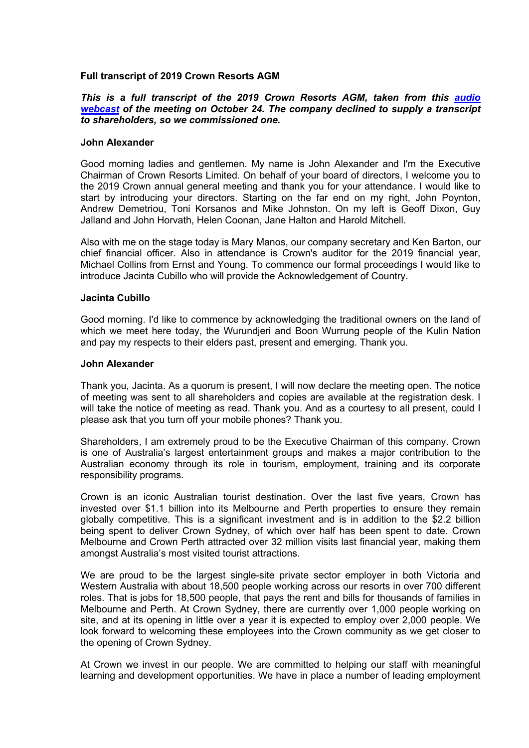# **Full transcript of 2019 Crown Resorts AGM**

# *This is a full transcript of the 2019 Crown Resorts AGM, taken from this audio webcast of the meeting on October 24. The company declined to supply a transcript to shareholders, so we commissioned one.*

### **John Alexander**

Good morning ladies and gentlemen. My name is John Alexander and I'm the Executive Chairman of Crown Resorts Limited. On behalf of your board of directors, I welcome you to the 2019 Crown annual general meeting and thank you for your attendance. I would like to start by introducing your directors. Starting on the far end on my right, John Poynton, Andrew Demetriou, Toni Korsanos and Mike Johnston. On my left is Geoff Dixon, Guy Jalland and John Horvath, Helen Coonan, Jane Halton and Harold Mitchell.

Also with me on the stage today is Mary Manos, our company secretary and Ken Barton, our chief financial officer. Also in attendance is Crown's auditor for the 2019 financial year, Michael Collins from Ernst and Young. To commence our formal proceedings I would like to introduce Jacinta Cubillo who will provide the Acknowledgement of Country.

### **Jacinta Cubillo**

Good morning. I'd like to commence by acknowledging the traditional owners on the land of which we meet here today, the Wurundjeri and Boon Wurrung people of the Kulin Nation and pay my respects to their elders past, present and emerging. Thank you.

#### **John Alexander**

Thank you, Jacinta. As a quorum is present, I will now declare the meeting open. The notice of meeting was sent to all shareholders and copies are available at the registration desk. I will take the notice of meeting as read. Thank you. And as a courtesy to all present, could I please ask that you turn off your mobile phones? Thank you.

Shareholders, I am extremely proud to be the Executive Chairman of this company. Crown is one of Australia's largest entertainment groups and makes a major contribution to the Australian economy through its role in tourism, employment, training and its corporate responsibility programs.

Crown is an iconic Australian tourist destination. Over the last five years, Crown has invested over \$1.1 billion into its Melbourne and Perth properties to ensure they remain globally competitive. This is a significant investment and is in addition to the \$2.2 billion being spent to deliver Crown Sydney, of which over half has been spent to date. Crown Melbourne and Crown Perth attracted over 32 million visits last financial year, making them amongst Australia's most visited tourist attractions.

We are proud to be the largest single-site private sector employer in both Victoria and Western Australia with about 18,500 people working across our resorts in over 700 different roles. That is jobs for 18,500 people, that pays the rent and bills for thousands of families in Melbourne and Perth. At Crown Sydney, there are currently over 1,000 people working on site, and at its opening in little over a year it is expected to employ over 2,000 people. We look forward to welcoming these employees into the Crown community as we get closer to the opening of Crown Sydney.

At Crown we invest in our people. We are committed to helping our staff with meaningful learning and development opportunities. We have in place a number of leading employment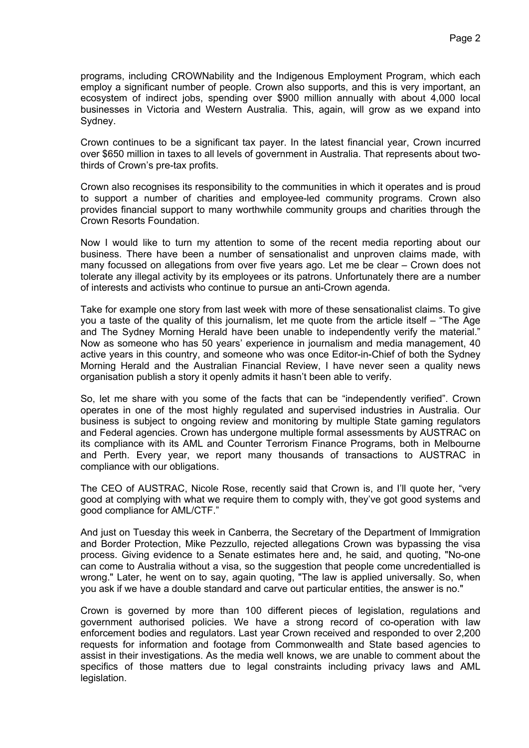programs, including CROWNability and the Indigenous Employment Program, which each employ a significant number of people. Crown also supports, and this is very important, an ecosystem of indirect jobs, spending over \$900 million annually with about 4,000 local businesses in Victoria and Western Australia. This, again, will grow as we expand into Sydney.

Crown continues to be a significant tax payer. In the latest financial year, Crown incurred over \$650 million in taxes to all levels of government in Australia. That represents about twothirds of Crown's pre-tax profits.

Crown also recognises its responsibility to the communities in which it operates and is proud to support a number of charities and employee-led community programs. Crown also provides financial support to many worthwhile community groups and charities through the Crown Resorts Foundation.

Now I would like to turn my attention to some of the recent media reporting about our business. There have been a number of sensationalist and unproven claims made, with many focussed on allegations from over five years ago. Let me be clear – Crown does not tolerate any illegal activity by its employees or its patrons. Unfortunately there are a number of interests and activists who continue to pursue an anti-Crown agenda.

Take for example one story from last week with more of these sensationalist claims. To give you a taste of the quality of this journalism, let me quote from the article itself – "The Age and The Sydney Morning Herald have been unable to independently verify the material." Now as someone who has 50 years' experience in journalism and media management, 40 active years in this country, and someone who was once Editor-in-Chief of both the Sydney Morning Herald and the Australian Financial Review, I have never seen a quality news organisation publish a story it openly admits it hasn't been able to verify.

So, let me share with you some of the facts that can be "independently verified". Crown operates in one of the most highly regulated and supervised industries in Australia. Our business is subject to ongoing review and monitoring by multiple State gaming regulators and Federal agencies. Crown has undergone multiple formal assessments by AUSTRAC on its compliance with its AML and Counter Terrorism Finance Programs, both in Melbourne and Perth. Every year, we report many thousands of transactions to AUSTRAC in compliance with our obligations.

The CEO of AUSTRAC, Nicole Rose, recently said that Crown is, and I'll quote her, "very good at complying with what we require them to comply with, they've got good systems and good compliance for AML/CTF."

And just on Tuesday this week in Canberra, the Secretary of the Department of Immigration and Border Protection, Mike Pezzullo, rejected allegations Crown was bypassing the visa process. Giving evidence to a Senate estimates here and, he said, and quoting, "No-one can come to Australia without a visa, so the suggestion that people come uncredentialled is wrong." Later, he went on to say, again quoting, "The law is applied universally. So, when you ask if we have a double standard and carve out particular entities, the answer is no."

Crown is governed by more than 100 different pieces of legislation, regulations and government authorised policies. We have a strong record of co-operation with law enforcement bodies and regulators. Last year Crown received and responded to over 2,200 requests for information and footage from Commonwealth and State based agencies to assist in their investigations. As the media well knows, we are unable to comment about the specifics of those matters due to legal constraints including privacy laws and AML legislation.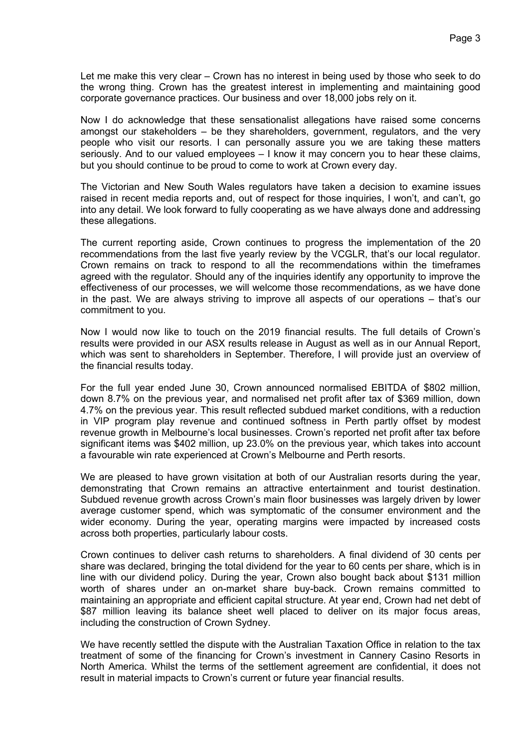Let me make this very clear – Crown has no interest in being used by those who seek to do the wrong thing. Crown has the greatest interest in implementing and maintaining good corporate governance practices. Our business and over 18,000 jobs rely on it.

Now I do acknowledge that these sensationalist allegations have raised some concerns amongst our stakeholders – be they shareholders, government, regulators, and the very people who visit our resorts. I can personally assure you we are taking these matters seriously. And to our valued employees – I know it may concern you to hear these claims, but you should continue to be proud to come to work at Crown every day.

The Victorian and New South Wales regulators have taken a decision to examine issues raised in recent media reports and, out of respect for those inquiries, I won't, and can't, go into any detail. We look forward to fully cooperating as we have always done and addressing these allegations.

The current reporting aside, Crown continues to progress the implementation of the 20 recommendations from the last five yearly review by the VCGLR, that's our local regulator. Crown remains on track to respond to all the recommendations within the timeframes agreed with the regulator. Should any of the inquiries identify any opportunity to improve the effectiveness of our processes, we will welcome those recommendations, as we have done in the past. We are always striving to improve all aspects of our operations – that's our commitment to you.

Now I would now like to touch on the 2019 financial results. The full details of Crown's results were provided in our ASX results release in August as well as in our Annual Report, which was sent to shareholders in September. Therefore, I will provide just an overview of the financial results today.

For the full year ended June 30, Crown announced normalised EBITDA of \$802 million, down 8.7% on the previous year, and normalised net profit after tax of \$369 million, down 4.7% on the previous year. This result reflected subdued market conditions, with a reduction in VIP program play revenue and continued softness in Perth partly offset by modest revenue growth in Melbourne's local businesses. Crown's reported net profit after tax before significant items was \$402 million, up 23.0% on the previous year, which takes into account a favourable win rate experienced at Crown's Melbourne and Perth resorts.

We are pleased to have grown visitation at both of our Australian resorts during the year, demonstrating that Crown remains an attractive entertainment and tourist destination. Subdued revenue growth across Crown's main floor businesses was largely driven by lower average customer spend, which was symptomatic of the consumer environment and the wider economy. During the year, operating margins were impacted by increased costs across both properties, particularly labour costs.

Crown continues to deliver cash returns to shareholders. A final dividend of 30 cents per share was declared, bringing the total dividend for the year to 60 cents per share, which is in line with our dividend policy. During the year, Crown also bought back about \$131 million worth of shares under an on-market share buy-back. Crown remains committed to maintaining an appropriate and efficient capital structure. At year end, Crown had net debt of \$87 million leaving its balance sheet well placed to deliver on its major focus areas, including the construction of Crown Sydney.

We have recently settled the dispute with the Australian Taxation Office in relation to the tax treatment of some of the financing for Crown's investment in Cannery Casino Resorts in North America. Whilst the terms of the settlement agreement are confidential, it does not result in material impacts to Crown's current or future year financial results.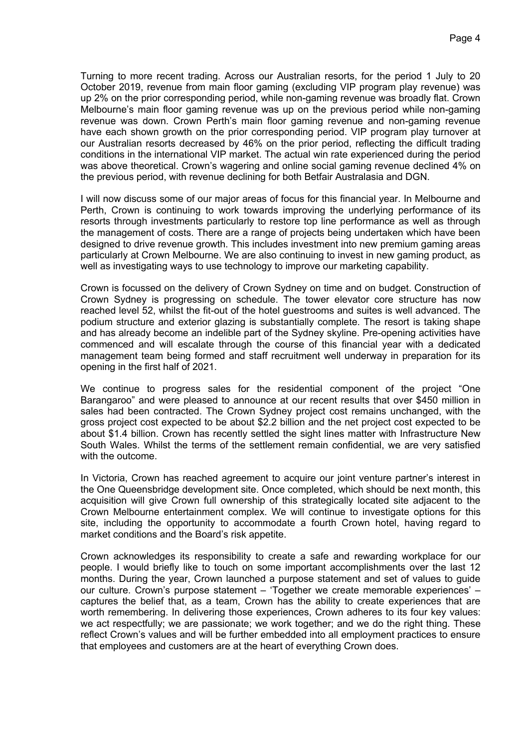Turning to more recent trading. Across our Australian resorts, for the period 1 July to 20 October 2019, revenue from main floor gaming (excluding VIP program play revenue) was up 2% on the prior corresponding period, while non-gaming revenue was broadly flat. Crown Melbourne's main floor gaming revenue was up on the previous period while non-gaming revenue was down. Crown Perth's main floor gaming revenue and non-gaming revenue have each shown growth on the prior corresponding period. VIP program play turnover at our Australian resorts decreased by 46% on the prior period, reflecting the difficult trading conditions in the international VIP market. The actual win rate experienced during the period was above theoretical. Crown's wagering and online social gaming revenue declined 4% on the previous period, with revenue declining for both Betfair Australasia and DGN.

I will now discuss some of our major areas of focus for this financial year. In Melbourne and Perth, Crown is continuing to work towards improving the underlying performance of its resorts through investments particularly to restore top line performance as well as through the management of costs. There are a range of projects being undertaken which have been designed to drive revenue growth. This includes investment into new premium gaming areas particularly at Crown Melbourne. We are also continuing to invest in new gaming product, as well as investigating ways to use technology to improve our marketing capability.

Crown is focussed on the delivery of Crown Sydney on time and on budget. Construction of Crown Sydney is progressing on schedule. The tower elevator core structure has now reached level 52, whilst the fit-out of the hotel guestrooms and suites is well advanced. The podium structure and exterior glazing is substantially complete. The resort is taking shape and has already become an indelible part of the Sydney skyline. Pre-opening activities have commenced and will escalate through the course of this financial year with a dedicated management team being formed and staff recruitment well underway in preparation for its opening in the first half of 2021.

We continue to progress sales for the residential component of the project "One Barangaroo" and were pleased to announce at our recent results that over \$450 million in sales had been contracted. The Crown Sydney project cost remains unchanged, with the gross project cost expected to be about \$2.2 billion and the net project cost expected to be about \$1.4 billion. Crown has recently settled the sight lines matter with Infrastructure New South Wales. Whilst the terms of the settlement remain confidential, we are very satisfied with the outcome.

In Victoria, Crown has reached agreement to acquire our joint venture partner's interest in the One Queensbridge development site. Once completed, which should be next month, this acquisition will give Crown full ownership of this strategically located site adjacent to the Crown Melbourne entertainment complex. We will continue to investigate options for this site, including the opportunity to accommodate a fourth Crown hotel, having regard to market conditions and the Board's risk appetite.

Crown acknowledges its responsibility to create a safe and rewarding workplace for our people. I would briefly like to touch on some important accomplishments over the last 12 months. During the year, Crown launched a purpose statement and set of values to guide our culture. Crown's purpose statement – 'Together we create memorable experiences' – captures the belief that, as a team, Crown has the ability to create experiences that are worth remembering. In delivering those experiences, Crown adheres to its four key values: we act respectfully; we are passionate; we work together; and we do the right thing. These reflect Crown's values and will be further embedded into all employment practices to ensure that employees and customers are at the heart of everything Crown does.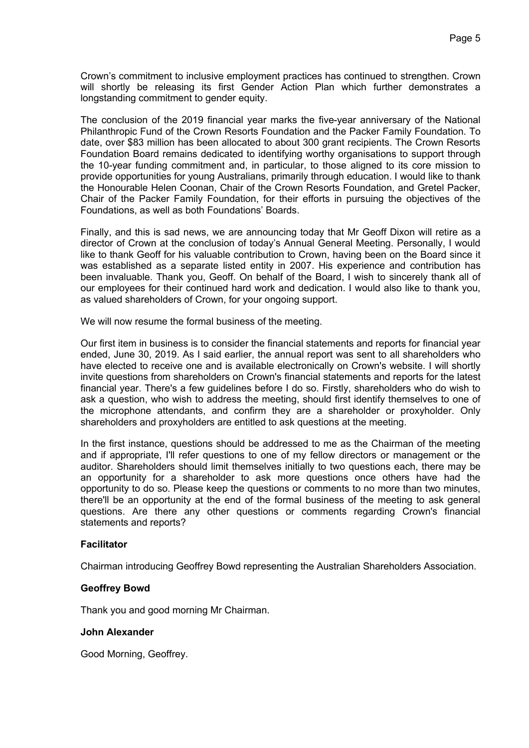Crown's commitment to inclusive employment practices has continued to strengthen. Crown will shortly be releasing its first Gender Action Plan which further demonstrates a longstanding commitment to gender equity.

The conclusion of the 2019 financial year marks the five-year anniversary of the National Philanthropic Fund of the Crown Resorts Foundation and the Packer Family Foundation. To date, over \$83 million has been allocated to about 300 grant recipients. The Crown Resorts Foundation Board remains dedicated to identifying worthy organisations to support through the 10-year funding commitment and, in particular, to those aligned to its core mission to provide opportunities for young Australians, primarily through education. I would like to thank the Honourable Helen Coonan, Chair of the Crown Resorts Foundation, and Gretel Packer, Chair of the Packer Family Foundation, for their efforts in pursuing the objectives of the Foundations, as well as both Foundations' Boards.

Finally, and this is sad news, we are announcing today that Mr Geoff Dixon will retire as a director of Crown at the conclusion of today's Annual General Meeting. Personally, I would like to thank Geoff for his valuable contribution to Crown, having been on the Board since it was established as a separate listed entity in 2007. His experience and contribution has been invaluable. Thank you, Geoff. On behalf of the Board, I wish to sincerely thank all of our employees for their continued hard work and dedication. I would also like to thank you, as valued shareholders of Crown, for your ongoing support.

We will now resume the formal business of the meeting.

Our first item in business is to consider the financial statements and reports for financial year ended, June 30, 2019. As I said earlier, the annual report was sent to all shareholders who have elected to receive one and is available electronically on Crown's website. I will shortly invite questions from shareholders on Crown's financial statements and reports for the latest financial year. There's a few guidelines before I do so. Firstly, shareholders who do wish to ask a question, who wish to address the meeting, should first identify themselves to one of the microphone attendants, and confirm they are a shareholder or proxyholder. Only shareholders and proxyholders are entitled to ask questions at the meeting.

In the first instance, questions should be addressed to me as the Chairman of the meeting and if appropriate, I'll refer questions to one of my fellow directors or management or the auditor. Shareholders should limit themselves initially to two questions each, there may be an opportunity for a shareholder to ask more questions once others have had the opportunity to do so. Please keep the questions or comments to no more than two minutes, there'll be an opportunity at the end of the formal business of the meeting to ask general questions. Are there any other questions or comments regarding Crown's financial statements and reports?

### **Facilitator**

Chairman introducing Geoffrey Bowd representing the Australian Shareholders Association.

### **Geoffrey Bowd**

Thank you and good morning Mr Chairman.

### **John Alexander**

Good Morning, Geoffrey.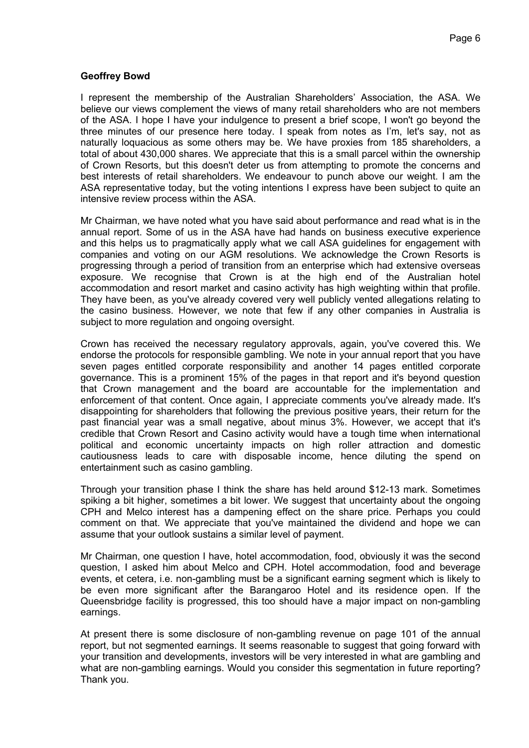# **Geoffrey Bowd**

I represent the membership of the Australian Shareholders' Association, the ASA. We believe our views complement the views of many retail shareholders who are not members of the ASA. I hope I have your indulgence to present a brief scope, I won't go beyond the three minutes of our presence here today. I speak from notes as I'm, let's say, not as naturally loquacious as some others may be. We have proxies from 185 shareholders, a total of about 430,000 shares. We appreciate that this is a small parcel within the ownership of Crown Resorts, but this doesn't deter us from attempting to promote the concerns and best interests of retail shareholders. We endeavour to punch above our weight. I am the ASA representative today, but the voting intentions I express have been subject to quite an intensive review process within the ASA.

Mr Chairman, we have noted what you have said about performance and read what is in the annual report. Some of us in the ASA have had hands on business executive experience and this helps us to pragmatically apply what we call ASA guidelines for engagement with companies and voting on our AGM resolutions. We acknowledge the Crown Resorts is progressing through a period of transition from an enterprise which had extensive overseas exposure. We recognise that Crown is at the high end of the Australian hotel accommodation and resort market and casino activity has high weighting within that profile. They have been, as you've already covered very well publicly vented allegations relating to the casino business. However, we note that few if any other companies in Australia is subject to more regulation and ongoing oversight.

Crown has received the necessary regulatory approvals, again, you've covered this. We endorse the protocols for responsible gambling. We note in your annual report that you have seven pages entitled corporate responsibility and another 14 pages entitled corporate governance. This is a prominent 15% of the pages in that report and it's beyond question that Crown management and the board are accountable for the implementation and enforcement of that content. Once again, I appreciate comments you've already made. It's disappointing for shareholders that following the previous positive years, their return for the past financial year was a small negative, about minus 3%. However, we accept that it's credible that Crown Resort and Casino activity would have a tough time when international political and economic uncertainty impacts on high roller attraction and domestic cautiousness leads to care with disposable income, hence diluting the spend on entertainment such as casino gambling.

Through your transition phase I think the share has held around \$12-13 mark. Sometimes spiking a bit higher, sometimes a bit lower. We suggest that uncertainty about the ongoing CPH and Melco interest has a dampening effect on the share price. Perhaps you could comment on that. We appreciate that you've maintained the dividend and hope we can assume that your outlook sustains a similar level of payment.

Mr Chairman, one question I have, hotel accommodation, food, obviously it was the second question, I asked him about Melco and CPH. Hotel accommodation, food and beverage events, et cetera, i.e. non-gambling must be a significant earning segment which is likely to be even more significant after the Barangaroo Hotel and its residence open. If the Queensbridge facility is progressed, this too should have a major impact on non-gambling earnings.

At present there is some disclosure of non-gambling revenue on page 101 of the annual report, but not segmented earnings. It seems reasonable to suggest that going forward with your transition and developments, investors will be very interested in what are gambling and what are non-gambling earnings. Would you consider this segmentation in future reporting? Thank you.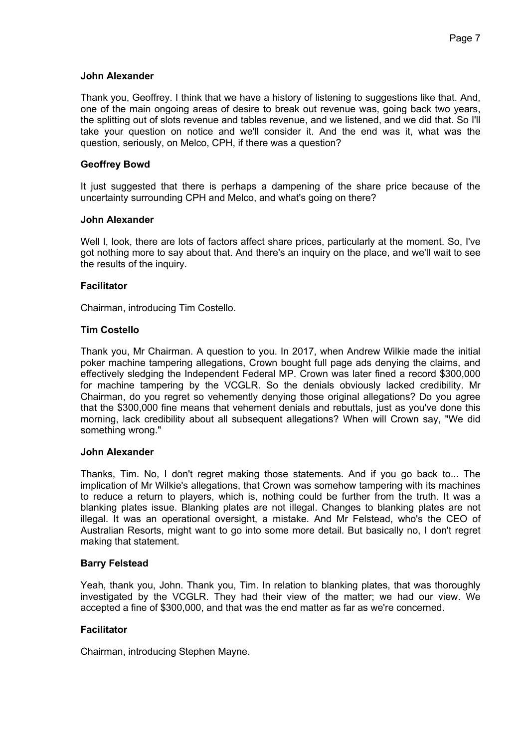### **John Alexander**

Thank you, Geoffrey. I think that we have a history of listening to suggestions like that. And, one of the main ongoing areas of desire to break out revenue was, going back two years, the splitting out of slots revenue and tables revenue, and we listened, and we did that. So I'll take your question on notice and we'll consider it. And the end was it, what was the question, seriously, on Melco, CPH, if there was a question?

# **Geoffrey Bowd**

It just suggested that there is perhaps a dampening of the share price because of the uncertainty surrounding CPH and Melco, and what's going on there?

### **John Alexander**

Well I, look, there are lots of factors affect share prices, particularly at the moment. So, I've got nothing more to say about that. And there's an inquiry on the place, and we'll wait to see the results of the inquiry.

# **Facilitator**

Chairman, introducing Tim Costello.

# **Tim Costello**

Thank you, Mr Chairman. A question to you. In 2017, when Andrew Wilkie made the initial poker machine tampering allegations, Crown bought full page ads denying the claims, and effectively sledging the Independent Federal MP. Crown was later fined a record \$300,000 for machine tampering by the VCGLR. So the denials obviously lacked credibility. Mr Chairman, do you regret so vehemently denying those original allegations? Do you agree that the \$300,000 fine means that vehement denials and rebuttals, just as you've done this morning, lack credibility about all subsequent allegations? When will Crown say, "We did something wrong."

### **John Alexander**

Thanks, Tim. No, I don't regret making those statements. And if you go back to... The implication of Mr Wilkie's allegations, that Crown was somehow tampering with its machines to reduce a return to players, which is, nothing could be further from the truth. It was a blanking plates issue. Blanking plates are not illegal. Changes to blanking plates are not illegal. It was an operational oversight, a mistake. And Mr Felstead, who's the CEO of Australian Resorts, might want to go into some more detail. But basically no, I don't regret making that statement.

### **Barry Felstead**

Yeah, thank you, John. Thank you, Tim. In relation to blanking plates, that was thoroughly investigated by the VCGLR. They had their view of the matter; we had our view. We accepted a fine of \$300,000, and that was the end matter as far as we're concerned.

# **Facilitator**

Chairman, introducing Stephen Mayne.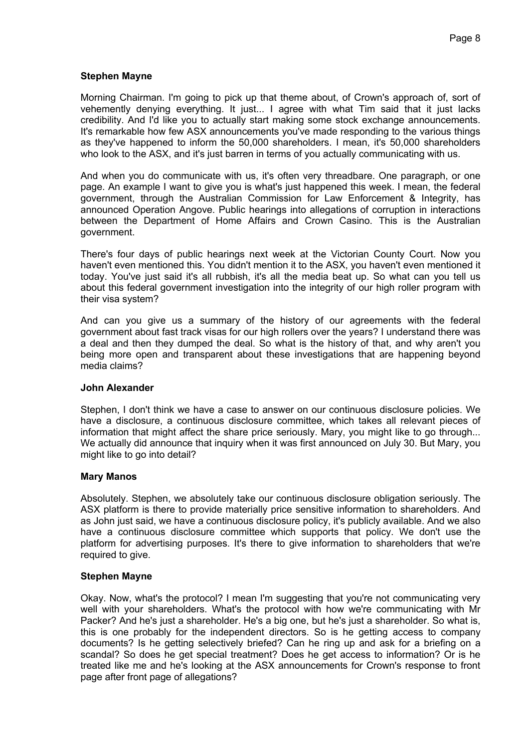# **Stephen Mayne**

Morning Chairman. I'm going to pick up that theme about, of Crown's approach of, sort of vehemently denying everything. It just... I agree with what Tim said that it just lacks credibility. And I'd like you to actually start making some stock exchange announcements. It's remarkable how few ASX announcements you've made responding to the various things as they've happened to inform the 50,000 shareholders. I mean, it's 50,000 shareholders who look to the ASX, and it's just barren in terms of you actually communicating with us.

And when you do communicate with us, it's often very threadbare. One paragraph, or one page. An example I want to give you is what's just happened this week. I mean, the federal government, through the Australian Commission for Law Enforcement & Integrity, has announced Operation Angove. Public hearings into allegations of corruption in interactions between the Department of Home Affairs and Crown Casino. This is the Australian government.

There's four days of public hearings next week at the Victorian County Court. Now you haven't even mentioned this. You didn't mention it to the ASX, you haven't even mentioned it today. You've just said it's all rubbish, it's all the media beat up. So what can you tell us about this federal government investigation into the integrity of our high roller program with their visa system?

And can you give us a summary of the history of our agreements with the federal government about fast track visas for our high rollers over the years? I understand there was a deal and then they dumped the deal. So what is the history of that, and why aren't you being more open and transparent about these investigations that are happening beyond media claims?

### **John Alexander**

Stephen, I don't think we have a case to answer on our continuous disclosure policies. We have a disclosure, a continuous disclosure committee, which takes all relevant pieces of information that might affect the share price seriously. Mary, you might like to go through... We actually did announce that inquiry when it was first announced on July 30. But Mary, you might like to go into detail?

### **Mary Manos**

Absolutely. Stephen, we absolutely take our continuous disclosure obligation seriously. The ASX platform is there to provide materially price sensitive information to shareholders. And as John just said, we have a continuous disclosure policy, it's publicly available. And we also have a continuous disclosure committee which supports that policy. We don't use the platform for advertising purposes. It's there to give information to shareholders that we're required to give.

# **Stephen Mayne**

Okay. Now, what's the protocol? I mean I'm suggesting that you're not communicating very well with your shareholders. What's the protocol with how we're communicating with Mr Packer? And he's just a shareholder. He's a big one, but he's just a shareholder. So what is, this is one probably for the independent directors. So is he getting access to company documents? Is he getting selectively briefed? Can he ring up and ask for a briefing on a scandal? So does he get special treatment? Does he get access to information? Or is he treated like me and he's looking at the ASX announcements for Crown's response to front page after front page of allegations?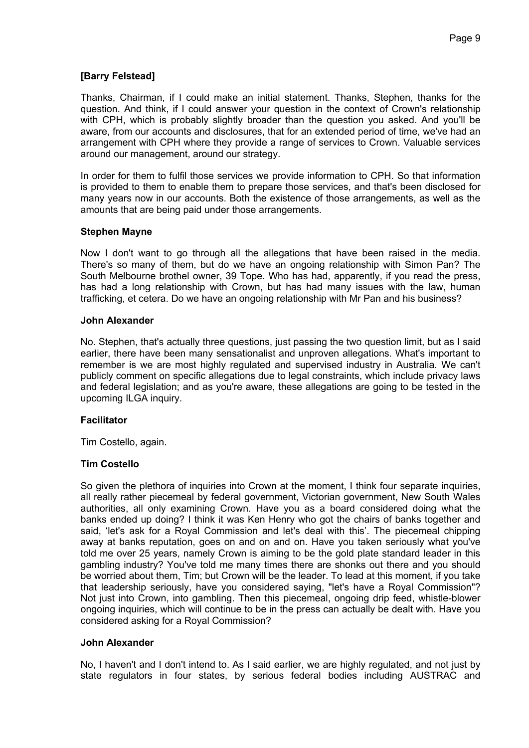# **[Barry Felstead]**

Thanks, Chairman, if I could make an initial statement. Thanks, Stephen, thanks for the question. And think, if I could answer your question in the context of Crown's relationship with CPH, which is probably slightly broader than the question you asked. And you'll be aware, from our accounts and disclosures, that for an extended period of time, we've had an arrangement with CPH where they provide a range of services to Crown. Valuable services around our management, around our strategy.

In order for them to fulfil those services we provide information to CPH. So that information is provided to them to enable them to prepare those services, and that's been disclosed for many years now in our accounts. Both the existence of those arrangements, as well as the amounts that are being paid under those arrangements.

# **Stephen Mayne**

Now I don't want to go through all the allegations that have been raised in the media. There's so many of them, but do we have an ongoing relationship with Simon Pan? The South Melbourne brothel owner, 39 Tope. Who has had, apparently, if you read the press, has had a long relationship with Crown, but has had many issues with the law, human trafficking, et cetera. Do we have an ongoing relationship with Mr Pan and his business?

# **John Alexander**

No. Stephen, that's actually three questions, just passing the two question limit, but as I said earlier, there have been many sensationalist and unproven allegations. What's important to remember is we are most highly regulated and supervised industry in Australia. We can't publicly comment on specific allegations due to legal constraints, which include privacy laws and federal legislation; and as you're aware, these allegations are going to be tested in the upcoming ILGA inquiry.

# **Facilitator**

Tim Costello, again.

# **Tim Costello**

So given the plethora of inquiries into Crown at the moment, I think four separate inquiries, all really rather piecemeal by federal government, Victorian government, New South Wales authorities, all only examining Crown. Have you as a board considered doing what the banks ended up doing? I think it was Ken Henry who got the chairs of banks together and said, 'let's ask for a Royal Commission and let's deal with this'. The piecemeal chipping away at banks reputation, goes on and on and on. Have you taken seriously what you've told me over 25 years, namely Crown is aiming to be the gold plate standard leader in this gambling industry? You've told me many times there are shonks out there and you should be worried about them, Tim; but Crown will be the leader. To lead at this moment, if you take that leadership seriously, have you considered saying, "let's have a Royal Commission"? Not just into Crown, into gambling. Then this piecemeal, ongoing drip feed, whistle-blower ongoing inquiries, which will continue to be in the press can actually be dealt with. Have you considered asking for a Royal Commission?

### **John Alexander**

No, I haven't and I don't intend to. As I said earlier, we are highly regulated, and not just by state regulators in four states, by serious federal bodies including AUSTRAC and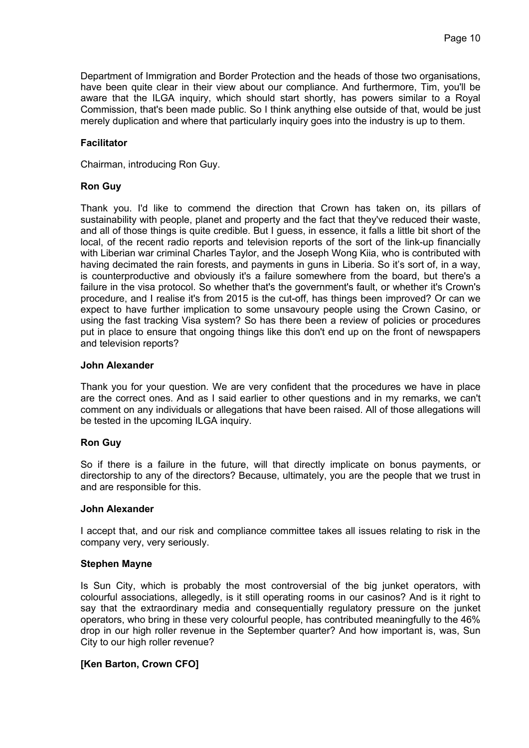Department of Immigration and Border Protection and the heads of those two organisations, have been quite clear in their view about our compliance. And furthermore, Tim, you'll be aware that the ILGA inquiry, which should start shortly, has powers similar to a Royal Commission, that's been made public. So I think anything else outside of that, would be just merely duplication and where that particularly inquiry goes into the industry is up to them.

# **Facilitator**

Chairman, introducing Ron Guy.

# **Ron Guy**

Thank you. I'd like to commend the direction that Crown has taken on, its pillars of sustainability with people, planet and property and the fact that they've reduced their waste, and all of those things is quite credible. But I guess, in essence, it falls a little bit short of the local, of the recent radio reports and television reports of the sort of the link-up financially with Liberian war criminal Charles Taylor, and the Joseph Wong Kiia, who is contributed with having decimated the rain forests, and payments in guns in Liberia. So it's sort of, in a way, is counterproductive and obviously it's a failure somewhere from the board, but there's a failure in the visa protocol. So whether that's the government's fault, or whether it's Crown's procedure, and I realise it's from 2015 is the cut-off, has things been improved? Or can we expect to have further implication to some unsavoury people using the Crown Casino, or using the fast tracking Visa system? So has there been a review of policies or procedures put in place to ensure that ongoing things like this don't end up on the front of newspapers and television reports?

# **John Alexander**

Thank you for your question. We are very confident that the procedures we have in place are the correct ones. And as I said earlier to other questions and in my remarks, we can't comment on any individuals or allegations that have been raised. All of those allegations will be tested in the upcoming ILGA inquiry.

# **Ron Guy**

So if there is a failure in the future, will that directly implicate on bonus payments, or directorship to any of the directors? Because, ultimately, you are the people that we trust in and are responsible for this.

### **John Alexander**

I accept that, and our risk and compliance committee takes all issues relating to risk in the company very, very seriously.

### **Stephen Mayne**

Is Sun City, which is probably the most controversial of the big junket operators, with colourful associations, allegedly, is it still operating rooms in our casinos? And is it right to say that the extraordinary media and consequentially regulatory pressure on the junket operators, who bring in these very colourful people, has contributed meaningfully to the 46% drop in our high roller revenue in the September quarter? And how important is, was, Sun City to our high roller revenue?

# **[Ken Barton, Crown CFO]**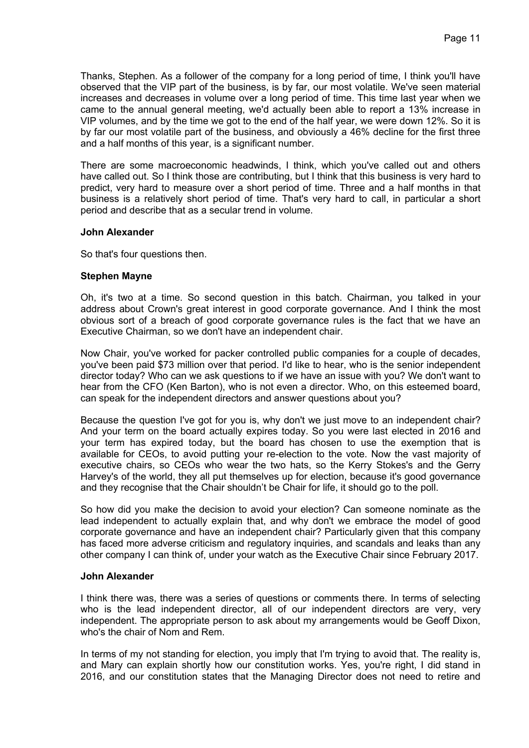Thanks, Stephen. As a follower of the company for a long period of time, I think you'll have observed that the VIP part of the business, is by far, our most volatile. We've seen material increases and decreases in volume over a long period of time. This time last year when we came to the annual general meeting, we'd actually been able to report a 13% increase in VIP volumes, and by the time we got to the end of the half year, we were down 12%. So it is by far our most volatile part of the business, and obviously a 46% decline for the first three and a half months of this year, is a significant number.

There are some macroeconomic headwinds, I think, which you've called out and others have called out. So I think those are contributing, but I think that this business is very hard to predict, very hard to measure over a short period of time. Three and a half months in that business is a relatively short period of time. That's very hard to call, in particular a short period and describe that as a secular trend in volume.

# **John Alexander**

So that's four questions then.

# **Stephen Mayne**

Oh, it's two at a time. So second question in this batch. Chairman, you talked in your address about Crown's great interest in good corporate governance. And I think the most obvious sort of a breach of good corporate governance rules is the fact that we have an Executive Chairman, so we don't have an independent chair.

Now Chair, you've worked for packer controlled public companies for a couple of decades, you've been paid \$73 million over that period. I'd like to hear, who is the senior independent director today? Who can we ask questions to if we have an issue with you? We don't want to hear from the CFO (Ken Barton), who is not even a director. Who, on this esteemed board, can speak for the independent directors and answer questions about you?

Because the question I've got for you is, why don't we just move to an independent chair? And your term on the board actually expires today. So you were last elected in 2016 and your term has expired today, but the board has chosen to use the exemption that is available for CEOs, to avoid putting your re-election to the vote. Now the vast majority of executive chairs, so CEOs who wear the two hats, so the Kerry Stokes's and the Gerry Harvey's of the world, they all put themselves up for election, because it's good governance and they recognise that the Chair shouldn't be Chair for life, it should go to the poll.

So how did you make the decision to avoid your election? Can someone nominate as the lead independent to actually explain that, and why don't we embrace the model of good corporate governance and have an independent chair? Particularly given that this company has faced more adverse criticism and regulatory inquiries, and scandals and leaks than any other company I can think of, under your watch as the Executive Chair since February 2017.

### **John Alexander**

I think there was, there was a series of questions or comments there. In terms of selecting who is the lead independent director, all of our independent directors are very, very independent. The appropriate person to ask about my arrangements would be Geoff Dixon, who's the chair of Nom and Rem.

In terms of my not standing for election, you imply that I'm trying to avoid that. The reality is, and Mary can explain shortly how our constitution works. Yes, you're right, I did stand in 2016, and our constitution states that the Managing Director does not need to retire and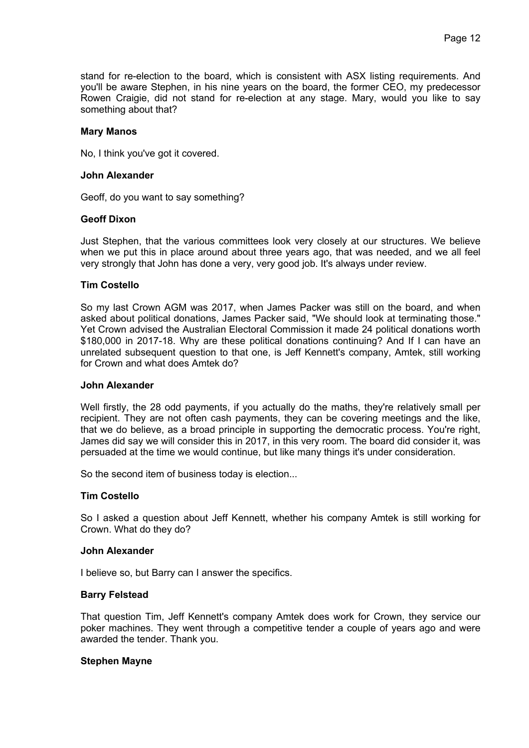stand for re-election to the board, which is consistent with ASX listing requirements. And you'll be aware Stephen, in his nine years on the board, the former CEO, my predecessor Rowen Craigie, did not stand for re-election at any stage. Mary, would you like to say something about that?

### **Mary Manos**

No, I think you've got it covered.

### **John Alexander**

Geoff, do you want to say something?

# **Geoff Dixon**

Just Stephen, that the various committees look very closely at our structures. We believe when we put this in place around about three years ago, that was needed, and we all feel very strongly that John has done a very, very good job. It's always under review.

# **Tim Costello**

So my last Crown AGM was 2017, when James Packer was still on the board, and when asked about political donations, James Packer said, "We should look at terminating those." Yet Crown advised the Australian Electoral Commission it made 24 political donations worth \$180,000 in 2017-18. Why are these political donations continuing? And If I can have an unrelated subsequent question to that one, is Jeff Kennett's company, Amtek, still working for Crown and what does Amtek do?

### **John Alexander**

Well firstly, the 28 odd payments, if you actually do the maths, they're relatively small per recipient. They are not often cash payments, they can be covering meetings and the like, that we do believe, as a broad principle in supporting the democratic process. You're right, James did say we will consider this in 2017, in this very room. The board did consider it, was persuaded at the time we would continue, but like many things it's under consideration.

So the second item of business today is election...

# **Tim Costello**

So I asked a question about Jeff Kennett, whether his company Amtek is still working for Crown. What do they do?

### **John Alexander**

I believe so, but Barry can I answer the specifics.

# **Barry Felstead**

That question Tim, Jeff Kennett's company Amtek does work for Crown, they service our poker machines. They went through a competitive tender a couple of years ago and were awarded the tender. Thank you.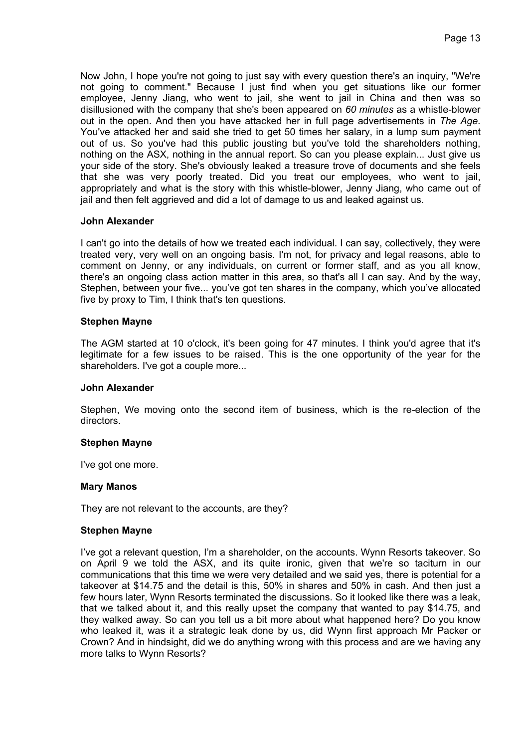Now John, I hope you're not going to just say with every question there's an inquiry, "We're not going to comment." Because I just find when you get situations like our former employee, Jenny Jiang, who went to jail, she went to jail in China and then was so disillusioned with the company that she's been appeared on *60 minutes* as a whistle-blower out in the open. And then you have attacked her in full page advertisements in *The Age*. You've attacked her and said she tried to get 50 times her salary, in a lump sum payment out of us. So you've had this public jousting but you've told the shareholders nothing, nothing on the ASX, nothing in the annual report. So can you please explain... Just give us your side of the story. She's obviously leaked a treasure trove of documents and she feels that she was very poorly treated. Did you treat our employees, who went to jail, appropriately and what is the story with this whistle-blower, Jenny Jiang, who came out of jail and then felt aggrieved and did a lot of damage to us and leaked against us.

# **John Alexander**

I can't go into the details of how we treated each individual. I can say, collectively, they were treated very, very well on an ongoing basis. I'm not, for privacy and legal reasons, able to comment on Jenny, or any individuals, on current or former staff, and as you all know, there's an ongoing class action matter in this area, so that's all I can say. And by the way, Stephen, between your five... you've got ten shares in the company, which you've allocated five by proxy to Tim, I think that's ten questions.

### **Stephen Mayne**

The AGM started at 10 o'clock, it's been going for 47 minutes. I think you'd agree that it's legitimate for a few issues to be raised. This is the one opportunity of the year for the shareholders. I've got a couple more...

### **John Alexander**

Stephen, We moving onto the second item of business, which is the re-election of the directors.

### **Stephen Mayne**

I've got one more.

### **Mary Manos**

They are not relevant to the accounts, are they?

### **Stephen Mayne**

I've got a relevant question, I'm a shareholder, on the accounts. Wynn Resorts takeover. So on April 9 we told the ASX, and its quite ironic, given that we're so taciturn in our communications that this time we were very detailed and we said yes, there is potential for a takeover at \$14.75 and the detail is this, 50% in shares and 50% in cash. And then just a few hours later, Wynn Resorts terminated the discussions. So it looked like there was a leak, that we talked about it, and this really upset the company that wanted to pay \$14.75, and they walked away. So can you tell us a bit more about what happened here? Do you know who leaked it, was it a strategic leak done by us, did Wynn first approach Mr Packer or Crown? And in hindsight, did we do anything wrong with this process and are we having any more talks to Wynn Resorts?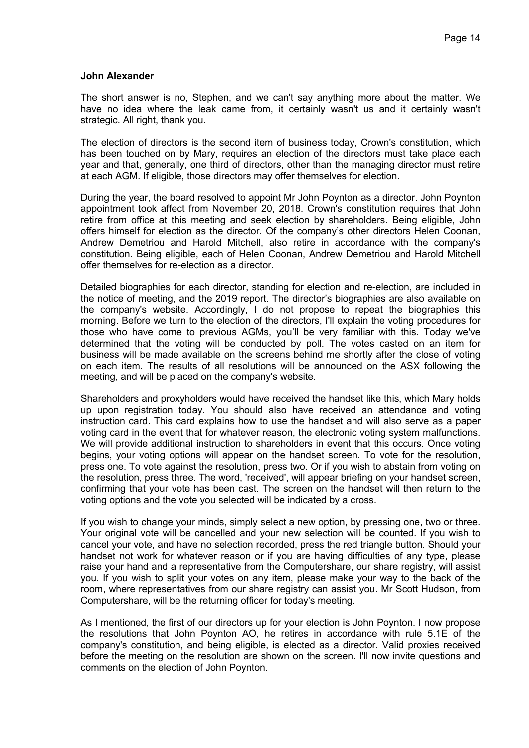### **John Alexander**

The short answer is no, Stephen, and we can't say anything more about the matter. We have no idea where the leak came from, it certainly wasn't us and it certainly wasn't strategic. All right, thank you.

The election of directors is the second item of business today, Crown's constitution, which has been touched on by Mary, requires an election of the directors must take place each year and that, generally, one third of directors, other than the managing director must retire at each AGM. If eligible, those directors may offer themselves for election.

During the year, the board resolved to appoint Mr John Poynton as a director. John Poynton appointment took affect from November 20, 2018. Crown's constitution requires that John retire from office at this meeting and seek election by shareholders. Being eligible, John offers himself for election as the director. Of the company's other directors Helen Coonan, Andrew Demetriou and Harold Mitchell, also retire in accordance with the company's constitution. Being eligible, each of Helen Coonan, Andrew Demetriou and Harold Mitchell offer themselves for re-election as a director.

Detailed biographies for each director, standing for election and re-election, are included in the notice of meeting, and the 2019 report. The director's biographies are also available on the company's website. Accordingly, I do not propose to repeat the biographies this morning. Before we turn to the election of the directors, I'll explain the voting procedures for those who have come to previous AGMs, you'll be very familiar with this. Today we've determined that the voting will be conducted by poll. The votes casted on an item for business will be made available on the screens behind me shortly after the close of voting on each item. The results of all resolutions will be announced on the ASX following the meeting, and will be placed on the company's website.

Shareholders and proxyholders would have received the handset like this, which Mary holds up upon registration today. You should also have received an attendance and voting instruction card. This card explains how to use the handset and will also serve as a paper voting card in the event that for whatever reason, the electronic voting system malfunctions. We will provide additional instruction to shareholders in event that this occurs. Once voting begins, your voting options will appear on the handset screen. To vote for the resolution, press one. To vote against the resolution, press two. Or if you wish to abstain from voting on the resolution, press three. The word, 'received', will appear briefing on your handset screen, confirming that your vote has been cast. The screen on the handset will then return to the voting options and the vote you selected will be indicated by a cross.

If you wish to change your minds, simply select a new option, by pressing one, two or three. Your original vote will be cancelled and your new selection will be counted. If you wish to cancel your vote, and have no selection recorded, press the red triangle button. Should your handset not work for whatever reason or if you are having difficulties of any type, please raise your hand and a representative from the Computershare, our share registry, will assist you. If you wish to split your votes on any item, please make your way to the back of the room, where representatives from our share registry can assist you. Mr Scott Hudson, from Computershare, will be the returning officer for today's meeting.

As I mentioned, the first of our directors up for your election is John Poynton. I now propose the resolutions that John Poynton AO, he retires in accordance with rule 5.1E of the company's constitution, and being eligible, is elected as a director. Valid proxies received before the meeting on the resolution are shown on the screen. I'll now invite questions and comments on the election of John Poynton.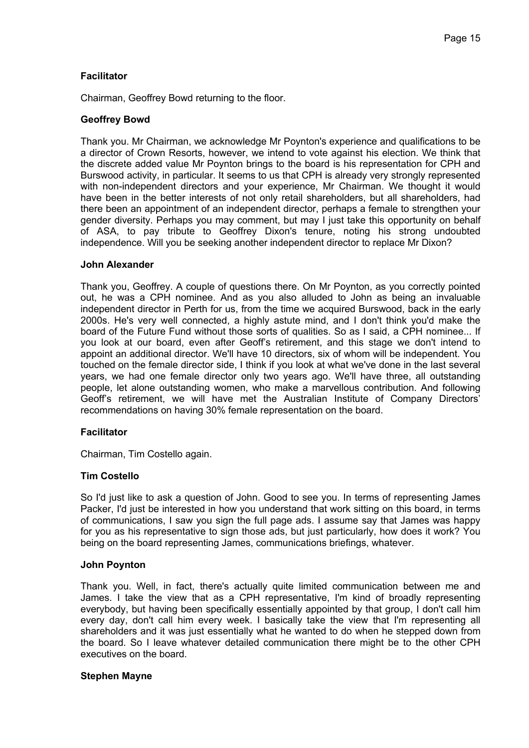# **Facilitator**

Chairman, Geoffrey Bowd returning to the floor.

# **Geoffrey Bowd**

Thank you. Mr Chairman, we acknowledge Mr Poynton's experience and qualifications to be a director of Crown Resorts, however, we intend to vote against his election. We think that the discrete added value Mr Poynton brings to the board is his representation for CPH and Burswood activity, in particular. It seems to us that CPH is already very strongly represented with non-independent directors and your experience, Mr Chairman. We thought it would have been in the better interests of not only retail shareholders, but all shareholders, had there been an appointment of an independent director, perhaps a female to strengthen your gender diversity. Perhaps you may comment, but may I just take this opportunity on behalf of ASA, to pay tribute to Geoffrey Dixon's tenure, noting his strong undoubted independence. Will you be seeking another independent director to replace Mr Dixon?

### **John Alexander**

Thank you, Geoffrey. A couple of questions there. On Mr Poynton, as you correctly pointed out, he was a CPH nominee. And as you also alluded to John as being an invaluable independent director in Perth for us, from the time we acquired Burswood, back in the early 2000s. He's very well connected, a highly astute mind, and I don't think you'd make the board of the Future Fund without those sorts of qualities. So as I said, a CPH nominee... If you look at our board, even after Geoff's retirement, and this stage we don't intend to appoint an additional director. We'll have 10 directors, six of whom will be independent. You touched on the female director side, I think if you look at what we've done in the last several years, we had one female director only two years ago. We'll have three, all outstanding people, let alone outstanding women, who make a marvellous contribution. And following Geoff's retirement, we will have met the Australian Institute of Company Directors' recommendations on having 30% female representation on the board.

### **Facilitator**

Chairman, Tim Costello again.

### **Tim Costello**

So I'd just like to ask a question of John. Good to see you. In terms of representing James Packer, I'd just be interested in how you understand that work sitting on this board, in terms of communications, I saw you sign the full page ads. I assume say that James was happy for you as his representative to sign those ads, but just particularly, how does it work? You being on the board representing James, communications briefings, whatever.

### **John Poynton**

Thank you. Well, in fact, there's actually quite limited communication between me and James. I take the view that as a CPH representative, I'm kind of broadly representing everybody, but having been specifically essentially appointed by that group, I don't call him every day, don't call him every week. I basically take the view that I'm representing all shareholders and it was just essentially what he wanted to do when he stepped down from the board. So I leave whatever detailed communication there might be to the other CPH executives on the board.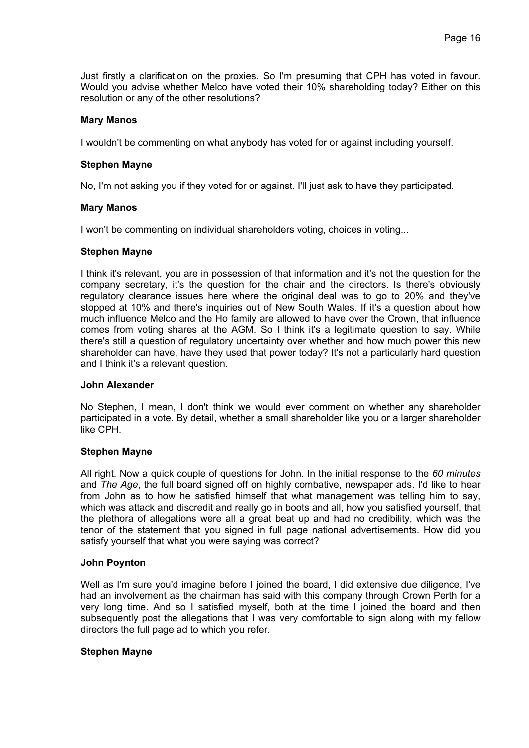Just firstly a clarification on the proxies. So I'm presuming that CPH has voted in favour. Would you advise whether Melco have voted their 10% shareholding today? Either on this resolution or any of the other resolutions?

### **Mary Manos**

I wouldn't be commenting on what anybody has voted for or against including yourself.

### **Stephen Mayne**

No, I'm not asking you if they voted for or against. I'll just ask to have they participated.

# **Mary Manos**

I won't be commenting on individual shareholders voting, choices in voting...

### **Stephen Mayne**

I think it's relevant, you are in possession of that information and it's not the question for the company secretary, it's the question for the chair and the directors. Is there's obviously regulatory clearance issues here where the original deal was to go to 20% and they've stopped at 10% and there's inquiries out of New South Wales. If it's a question about how much influence Melco and the Ho family are allowed to have over the Crown, that influence comes from voting shares at the AGM. So I think it's a legitimate question to say. While there's still a question of regulatory uncertainty over whether and how much power this new shareholder can have, have they used that power today? It's not a particularly hard question and I think it's a relevant question.

### **John Alexander**

No Stephen, I mean, I don't think we would ever comment on whether any shareholder participated in a vote. By detail, whether a small shareholder like you or a larger shareholder like CPH.

### **Stephen Mayne**

All right. Now a quick couple of questions for John. In the initial response to the *60 minutes* and *The Age*, the full board signed off on highly combative, newspaper ads. I'd like to hear from John as to how he satisfied himself that what management was telling him to say, which was attack and discredit and really go in boots and all, how you satisfied yourself, that the plethora of allegations were all a great beat up and had no credibility, which was the tenor of the statement that you signed in full page national advertisements. How did you satisfy yourself that what you were saying was correct?

### **John Poynton**

Well as I'm sure you'd imagine before I joined the board, I did extensive due diligence, I've had an involvement as the chairman has said with this company through Crown Perth for a very long time. And so I satisfied myself, both at the time I joined the board and then subsequently post the allegations that I was very comfortable to sign along with my fellow directors the full page ad to which you refer.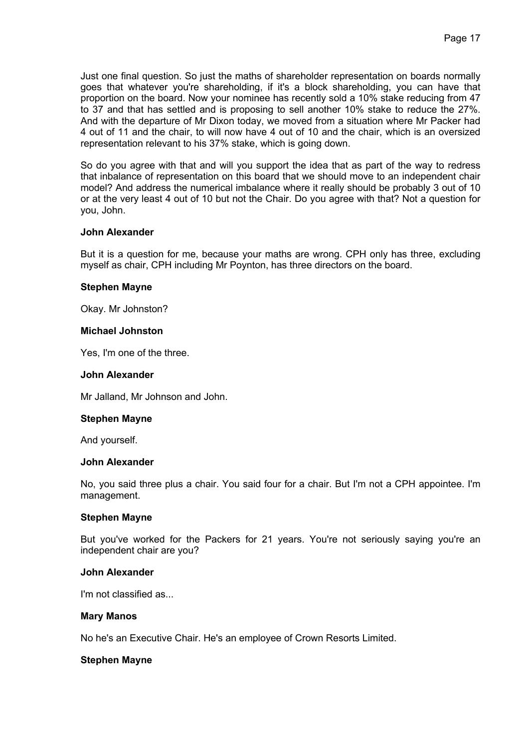Just one final question. So just the maths of shareholder representation on boards normally goes that whatever you're shareholding, if it's a block shareholding, you can have that proportion on the board. Now your nominee has recently sold a 10% stake reducing from 47 to 37 and that has settled and is proposing to sell another 10% stake to reduce the 27%. And with the departure of Mr Dixon today, we moved from a situation where Mr Packer had 4 out of 11 and the chair, to will now have 4 out of 10 and the chair, which is an oversized representation relevant to his 37% stake, which is going down.

So do you agree with that and will you support the idea that as part of the way to redress that inbalance of representation on this board that we should move to an independent chair model? And address the numerical imbalance where it really should be probably 3 out of 10 or at the very least 4 out of 10 but not the Chair. Do you agree with that? Not a question for you, John.

# **John Alexander**

But it is a question for me, because your maths are wrong. CPH only has three, excluding myself as chair, CPH including Mr Poynton, has three directors on the board.

### **Stephen Mayne**

Okay. Mr Johnston?

#### **Michael Johnston**

Yes, I'm one of the three.

#### **John Alexander**

Mr Jalland, Mr Johnson and John.

### **Stephen Mayne**

And yourself.

#### **John Alexander**

No, you said three plus a chair. You said four for a chair. But I'm not a CPH appointee. I'm management.

### **Stephen Mayne**

But you've worked for the Packers for 21 years. You're not seriously saying you're an independent chair are you?

### **John Alexander**

I'm not classified as.

#### **Mary Manos**

No he's an Executive Chair. He's an employee of Crown Resorts Limited.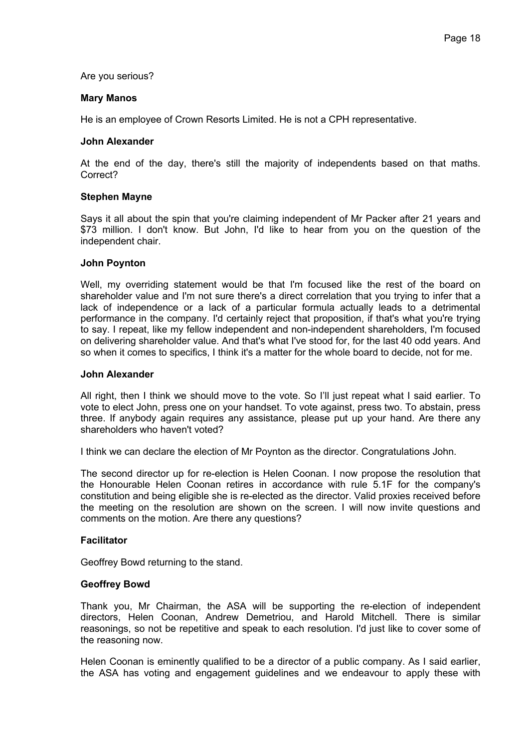### Are you serious?

### **Mary Manos**

He is an employee of Crown Resorts Limited. He is not a CPH representative.

# **John Alexander**

At the end of the day, there's still the majority of independents based on that maths. Correct?

# **Stephen Mayne**

Says it all about the spin that you're claiming independent of Mr Packer after 21 years and \$73 million. I don't know. But John, I'd like to hear from you on the question of the independent chair.

# **John Poynton**

Well, my overriding statement would be that I'm focused like the rest of the board on shareholder value and I'm not sure there's a direct correlation that you trying to infer that a lack of independence or a lack of a particular formula actually leads to a detrimental performance in the company. I'd certainly reject that proposition, if that's what you're trying to say. I repeat, like my fellow independent and non-independent shareholders, I'm focused on delivering shareholder value. And that's what I've stood for, for the last 40 odd years. And so when it comes to specifics, I think it's a matter for the whole board to decide, not for me.

### **John Alexander**

All right, then I think we should move to the vote. So I'll just repeat what I said earlier. To vote to elect John, press one on your handset. To vote against, press two. To abstain, press three. If anybody again requires any assistance, please put up your hand. Are there any shareholders who haven't voted?

I think we can declare the election of Mr Poynton as the director. Congratulations John.

The second director up for re-election is Helen Coonan. I now propose the resolution that the Honourable Helen Coonan retires in accordance with rule 5.1F for the company's constitution and being eligible she is re-elected as the director. Valid proxies received before the meeting on the resolution are shown on the screen. I will now invite questions and comments on the motion. Are there any questions?

# **Facilitator**

Geoffrey Bowd returning to the stand.

### **Geoffrey Bowd**

Thank you, Mr Chairman, the ASA will be supporting the re-election of independent directors, Helen Coonan, Andrew Demetriou, and Harold Mitchell. There is similar reasonings, so not be repetitive and speak to each resolution. I'd just like to cover some of the reasoning now.

Helen Coonan is eminently qualified to be a director of a public company. As I said earlier, the ASA has voting and engagement guidelines and we endeavour to apply these with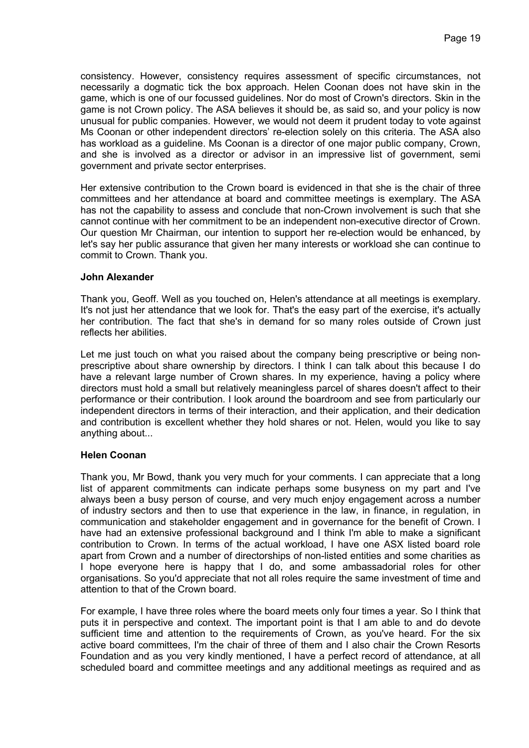consistency. However, consistency requires assessment of specific circumstances, not necessarily a dogmatic tick the box approach. Helen Coonan does not have skin in the game, which is one of our focussed guidelines. Nor do most of Crown's directors. Skin in the game is not Crown policy. The ASA believes it should be, as said so, and your policy is now unusual for public companies. However, we would not deem it prudent today to vote against Ms Coonan or other independent directors' re-election solely on this criteria. The ASA also has workload as a guideline. Ms Coonan is a director of one major public company, Crown, and she is involved as a director or advisor in an impressive list of government, semi government and private sector enterprises.

Her extensive contribution to the Crown board is evidenced in that she is the chair of three committees and her attendance at board and committee meetings is exemplary. The ASA has not the capability to assess and conclude that non-Crown involvement is such that she cannot continue with her commitment to be an independent non-executive director of Crown. Our question Mr Chairman, our intention to support her re-election would be enhanced, by let's say her public assurance that given her many interests or workload she can continue to commit to Crown. Thank you.

# **John Alexander**

Thank you, Geoff. Well as you touched on, Helen's attendance at all meetings is exemplary. It's not just her attendance that we look for. That's the easy part of the exercise, it's actually her contribution. The fact that she's in demand for so many roles outside of Crown just reflects her abilities.

Let me just touch on what you raised about the company being prescriptive or being nonprescriptive about share ownership by directors. I think I can talk about this because I do have a relevant large number of Crown shares. In my experience, having a policy where directors must hold a small but relatively meaningless parcel of shares doesn't affect to their performance or their contribution. I look around the boardroom and see from particularly our independent directors in terms of their interaction, and their application, and their dedication and contribution is excellent whether they hold shares or not. Helen, would you like to say anything about...

### **Helen Coonan**

Thank you, Mr Bowd, thank you very much for your comments. I can appreciate that a long list of apparent commitments can indicate perhaps some busyness on my part and I've always been a busy person of course, and very much enjoy engagement across a number of industry sectors and then to use that experience in the law, in finance, in regulation, in communication and stakeholder engagement and in governance for the benefit of Crown. I have had an extensive professional background and I think I'm able to make a significant contribution to Crown. In terms of the actual workload, I have one ASX listed board role apart from Crown and a number of directorships of non-listed entities and some charities as I hope everyone here is happy that I do, and some ambassadorial roles for other organisations. So you'd appreciate that not all roles require the same investment of time and attention to that of the Crown board.

For example, I have three roles where the board meets only four times a year. So I think that puts it in perspective and context. The important point is that I am able to and do devote sufficient time and attention to the requirements of Crown, as you've heard. For the six active board committees, I'm the chair of three of them and I also chair the Crown Resorts Foundation and as you very kindly mentioned, I have a perfect record of attendance, at all scheduled board and committee meetings and any additional meetings as required and as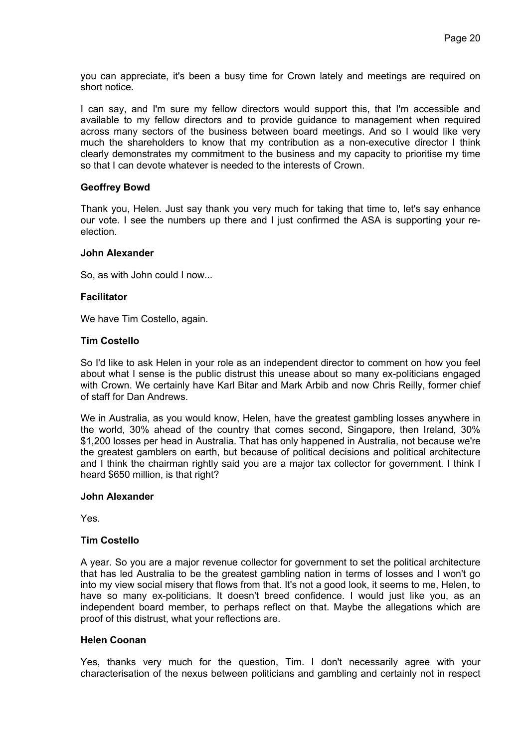you can appreciate, it's been a busy time for Crown lately and meetings are required on short notice.

I can say, and I'm sure my fellow directors would support this, that I'm accessible and available to my fellow directors and to provide guidance to management when required across many sectors of the business between board meetings. And so I would like very much the shareholders to know that my contribution as a non-executive director I think clearly demonstrates my commitment to the business and my capacity to prioritise my time so that I can devote whatever is needed to the interests of Crown.

# **Geoffrey Bowd**

Thank you, Helen. Just say thank you very much for taking that time to, let's say enhance our vote. I see the numbers up there and I just confirmed the ASA is supporting your reelection.

### **John Alexander**

So, as with John could I now...

# **Facilitator**

We have Tim Costello, again.

# **Tim Costello**

So I'd like to ask Helen in your role as an independent director to comment on how you feel about what I sense is the public distrust this unease about so many ex-politicians engaged with Crown. We certainly have Karl Bitar and Mark Arbib and now Chris Reilly, former chief of staff for Dan Andrews.

We in Australia, as you would know, Helen, have the greatest gambling losses anywhere in the world, 30% ahead of the country that comes second, Singapore, then Ireland, 30% \$1,200 losses per head in Australia. That has only happened in Australia, not because we're the greatest gamblers on earth, but because of political decisions and political architecture and I think the chairman rightly said you are a major tax collector for government. I think I heard \$650 million, is that right?

### **John Alexander**

Yes.

### **Tim Costello**

A year. So you are a major revenue collector for government to set the political architecture that has led Australia to be the greatest gambling nation in terms of losses and I won't go into my view social misery that flows from that. It's not a good look, it seems to me, Helen, to have so many ex-politicians. It doesn't breed confidence. I would just like you, as an independent board member, to perhaps reflect on that. Maybe the allegations which are proof of this distrust, what your reflections are.

### **Helen Coonan**

Yes, thanks very much for the question, Tim. I don't necessarily agree with your characterisation of the nexus between politicians and gambling and certainly not in respect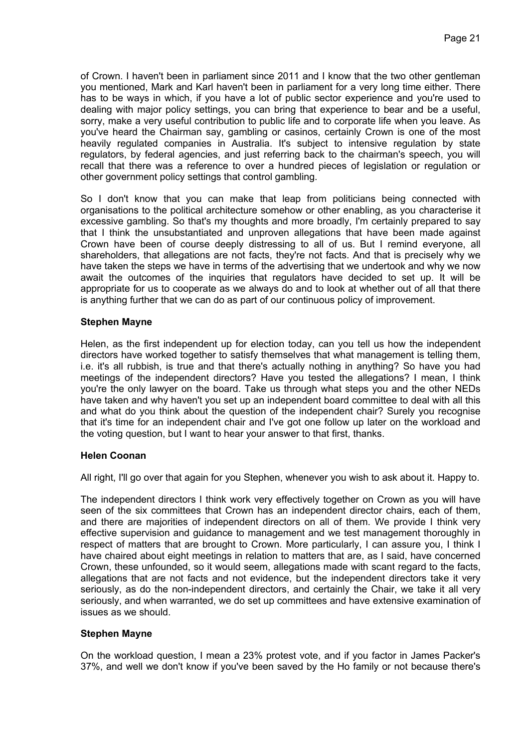of Crown. I haven't been in parliament since 2011 and I know that the two other gentleman you mentioned, Mark and Karl haven't been in parliament for a very long time either. There has to be ways in which, if you have a lot of public sector experience and you're used to dealing with major policy settings, you can bring that experience to bear and be a useful, sorry, make a very useful contribution to public life and to corporate life when you leave. As you've heard the Chairman say, gambling or casinos, certainly Crown is one of the most heavily regulated companies in Australia. It's subject to intensive regulation by state regulators, by federal agencies, and just referring back to the chairman's speech, you will recall that there was a reference to over a hundred pieces of legislation or regulation or other government policy settings that control gambling.

So I don't know that you can make that leap from politicians being connected with organisations to the political architecture somehow or other enabling, as you characterise it excessive gambling. So that's my thoughts and more broadly, I'm certainly prepared to say that I think the unsubstantiated and unproven allegations that have been made against Crown have been of course deeply distressing to all of us. But I remind everyone, all shareholders, that allegations are not facts, they're not facts. And that is precisely why we have taken the steps we have in terms of the advertising that we undertook and why we now await the outcomes of the inquiries that regulators have decided to set up. It will be appropriate for us to cooperate as we always do and to look at whether out of all that there is anything further that we can do as part of our continuous policy of improvement.

# **Stephen Mayne**

Helen, as the first independent up for election today, can you tell us how the independent directors have worked together to satisfy themselves that what management is telling them, i.e. it's all rubbish, is true and that there's actually nothing in anything? So have you had meetings of the independent directors? Have you tested the allegations? I mean, I think you're the only lawyer on the board. Take us through what steps you and the other NEDs have taken and why haven't you set up an independent board committee to deal with all this and what do you think about the question of the independent chair? Surely you recognise that it's time for an independent chair and I've got one follow up later on the workload and the voting question, but I want to hear your answer to that first, thanks.

# **Helen Coonan**

All right, I'll go over that again for you Stephen, whenever you wish to ask about it. Happy to.

The independent directors I think work very effectively together on Crown as you will have seen of the six committees that Crown has an independent director chairs, each of them, and there are majorities of independent directors on all of them. We provide I think very effective supervision and guidance to management and we test management thoroughly in respect of matters that are brought to Crown. More particularly, I can assure you, I think I have chaired about eight meetings in relation to matters that are, as I said, have concerned Crown, these unfounded, so it would seem, allegations made with scant regard to the facts, allegations that are not facts and not evidence, but the independent directors take it very seriously, as do the non-independent directors, and certainly the Chair, we take it all very seriously, and when warranted, we do set up committees and have extensive examination of issues as we should.

# **Stephen Mayne**

On the workload question, I mean a 23% protest vote, and if you factor in James Packer's 37%, and well we don't know if you've been saved by the Ho family or not because there's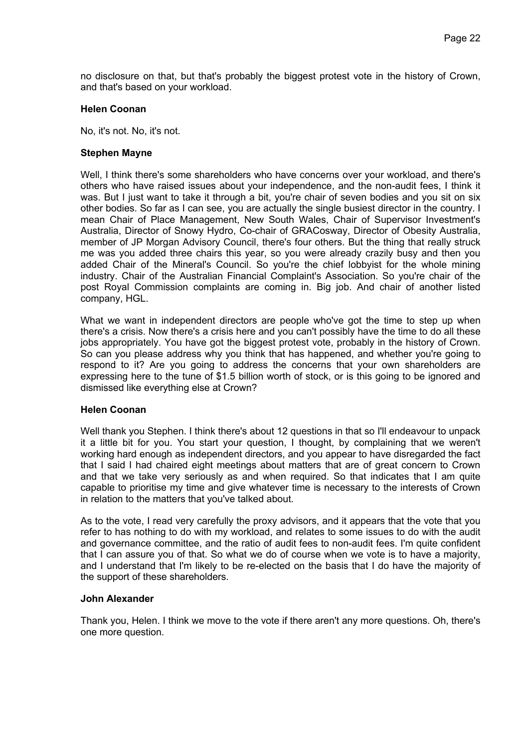no disclosure on that, but that's probably the biggest protest vote in the history of Crown, and that's based on your workload.

### **Helen Coonan**

No, it's not. No, it's not.

# **Stephen Mayne**

Well, I think there's some shareholders who have concerns over your workload, and there's others who have raised issues about your independence, and the non-audit fees, I think it was. But I just want to take it through a bit, you're chair of seven bodies and you sit on six other bodies. So far as I can see, you are actually the single busiest director in the country. I mean Chair of Place Management, New South Wales, Chair of Supervisor Investment's Australia, Director of Snowy Hydro, Co-chair of GRACosway, Director of Obesity Australia, member of JP Morgan Advisory Council, there's four others. But the thing that really struck me was you added three chairs this year, so you were already crazily busy and then you added Chair of the Mineral's Council. So you're the chief lobbyist for the whole mining industry. Chair of the Australian Financial Complaint's Association. So you're chair of the post Royal Commission complaints are coming in. Big job. And chair of another listed company, HGL.

What we want in independent directors are people who've got the time to step up when there's a crisis. Now there's a crisis here and you can't possibly have the time to do all these jobs appropriately. You have got the biggest protest vote, probably in the history of Crown. So can you please address why you think that has happened, and whether you're going to respond to it? Are you going to address the concerns that your own shareholders are expressing here to the tune of \$1.5 billion worth of stock, or is this going to be ignored and dismissed like everything else at Crown?

### **Helen Coonan**

Well thank you Stephen. I think there's about 12 questions in that so I'll endeavour to unpack it a little bit for you. You start your question, I thought, by complaining that we weren't working hard enough as independent directors, and you appear to have disregarded the fact that I said I had chaired eight meetings about matters that are of great concern to Crown and that we take very seriously as and when required. So that indicates that I am quite capable to prioritise my time and give whatever time is necessary to the interests of Crown in relation to the matters that you've talked about.

As to the vote, I read very carefully the proxy advisors, and it appears that the vote that you refer to has nothing to do with my workload, and relates to some issues to do with the audit and governance committee, and the ratio of audit fees to non-audit fees. I'm quite confident that I can assure you of that. So what we do of course when we vote is to have a majority, and I understand that I'm likely to be re-elected on the basis that I do have the majority of the support of these shareholders.

### **John Alexander**

Thank you, Helen. I think we move to the vote if there aren't any more questions. Oh, there's one more question.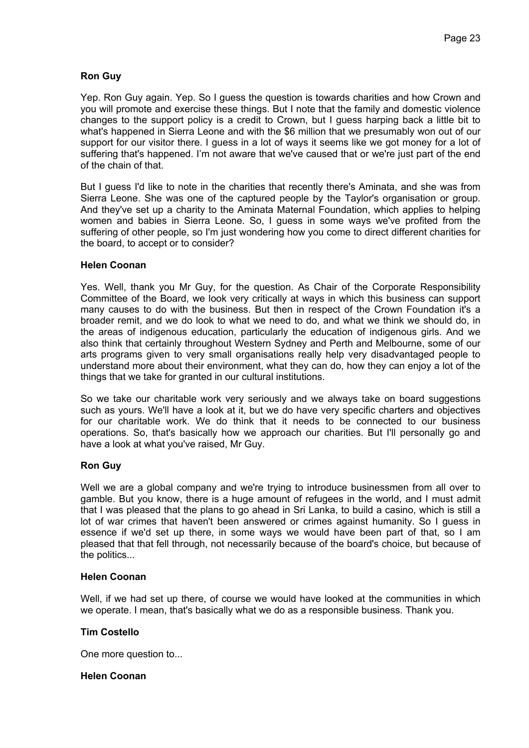# **Ron Guy**

Yep. Ron Guy again. Yep. So I guess the question is towards charities and how Crown and you will promote and exercise these things. But I note that the family and domestic violence changes to the support policy is a credit to Crown, but I guess harping back a little bit to what's happened in Sierra Leone and with the \$6 million that we presumably won out of our support for our visitor there. I guess in a lot of ways it seems like we got money for a lot of suffering that's happened. I'm not aware that we've caused that or we're just part of the end of the chain of that.

But I guess I'd like to note in the charities that recently there's Aminata, and she was from Sierra Leone. She was one of the captured people by the Taylor's organisation or group. And they've set up a charity to the Aminata Maternal Foundation, which applies to helping women and babies in Sierra Leone. So, I guess in some ways we've profited from the suffering of other people, so I'm just wondering how you come to direct different charities for the board, to accept or to consider?

# **Helen Coonan**

Yes. Well, thank you Mr Guy, for the question. As Chair of the Corporate Responsibility Committee of the Board, we look very critically at ways in which this business can support many causes to do with the business. But then in respect of the Crown Foundation it's a broader remit, and we do look to what we need to do, and what we think we should do, in the areas of indigenous education, particularly the education of indigenous girls. And we also think that certainly throughout Western Sydney and Perth and Melbourne, some of our arts programs given to very small organisations really help very disadvantaged people to understand more about their environment, what they can do, how they can enjoy a lot of the things that we take for granted in our cultural institutions.

So we take our charitable work very seriously and we always take on board suggestions such as yours. We'll have a look at it, but we do have very specific charters and objectives for our charitable work. We do think that it needs to be connected to our business operations. So, that's basically how we approach our charities. But I'll personally go and have a look at what you've raised, Mr Guy.

# **Ron Guy**

Well we are a global company and we're trying to introduce businessmen from all over to gamble. But you know, there is a huge amount of refugees in the world, and I must admit that I was pleased that the plans to go ahead in Sri Lanka, to build a casino, which is still a lot of war crimes that haven't been answered or crimes against humanity. So I guess in essence if we'd set up there, in some ways we would have been part of that, so I am pleased that that fell through, not necessarily because of the board's choice, but because of the politics...

# **Helen Coonan**

Well, if we had set up there, of course we would have looked at the communities in which we operate. I mean, that's basically what we do as a responsible business. Thank you.

# **Tim Costello**

One more question to...

# **Helen Coonan**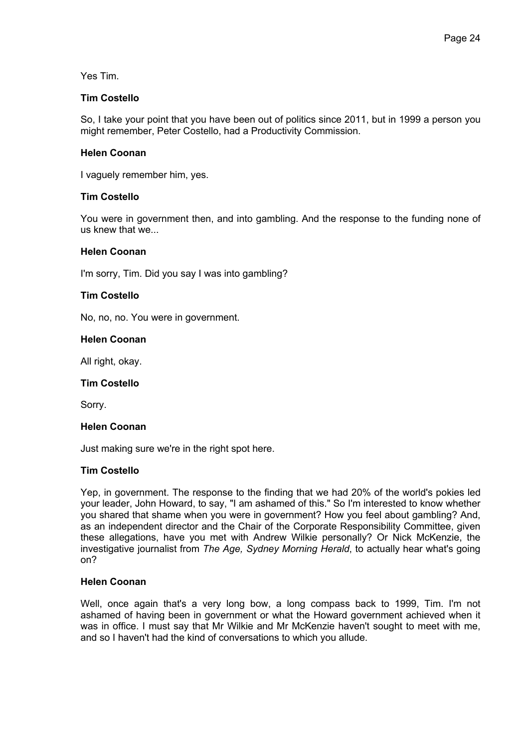Yes Tim.

### **Tim Costello**

So, I take your point that you have been out of politics since 2011, but in 1999 a person you might remember, Peter Costello, had a Productivity Commission.

# **Helen Coonan**

I vaguely remember him, yes.

# **Tim Costello**

You were in government then, and into gambling. And the response to the funding none of us knew that we...

# **Helen Coonan**

I'm sorry, Tim. Did you say I was into gambling?

# **Tim Costello**

No, no, no. You were in government.

### **Helen Coonan**

All right, okay.

### **Tim Costello**

Sorry.

### **Helen Coonan**

Just making sure we're in the right spot here.

# **Tim Costello**

Yep, in government. The response to the finding that we had 20% of the world's pokies led your leader, John Howard, to say, "I am ashamed of this." So I'm interested to know whether you shared that shame when you were in government? How you feel about gambling? And, as an independent director and the Chair of the Corporate Responsibility Committee, given these allegations, have you met with Andrew Wilkie personally? Or Nick McKenzie, the investigative journalist from *The Age, Sydney Morning Herald*, to actually hear what's going on?

# **Helen Coonan**

Well, once again that's a very long bow, a long compass back to 1999, Tim. I'm not ashamed of having been in government or what the Howard government achieved when it was in office. I must say that Mr Wilkie and Mr McKenzie haven't sought to meet with me, and so I haven't had the kind of conversations to which you allude.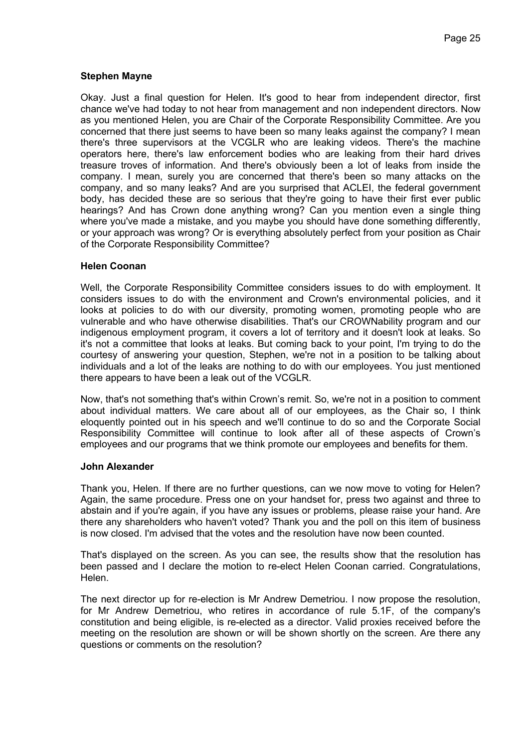# **Stephen Mayne**

Okay. Just a final question for Helen. It's good to hear from independent director, first chance we've had today to not hear from management and non independent directors. Now as you mentioned Helen, you are Chair of the Corporate Responsibility Committee. Are you concerned that there just seems to have been so many leaks against the company? I mean there's three supervisors at the VCGLR who are leaking videos. There's the machine operators here, there's law enforcement bodies who are leaking from their hard drives treasure troves of information. And there's obviously been a lot of leaks from inside the company. I mean, surely you are concerned that there's been so many attacks on the company, and so many leaks? And are you surprised that ACLEI, the federal government body, has decided these are so serious that they're going to have their first ever public hearings? And has Crown done anything wrong? Can you mention even a single thing where you've made a mistake, and you maybe you should have done something differently, or your approach was wrong? Or is everything absolutely perfect from your position as Chair of the Corporate Responsibility Committee?

# **Helen Coonan**

Well, the Corporate Responsibility Committee considers issues to do with employment. It considers issues to do with the environment and Crown's environmental policies, and it looks at policies to do with our diversity, promoting women, promoting people who are vulnerable and who have otherwise disabilities. That's our CROWNability program and our indigenous employment program, it covers a lot of territory and it doesn't look at leaks. So it's not a committee that looks at leaks. But coming back to your point, I'm trying to do the courtesy of answering your question, Stephen, we're not in a position to be talking about individuals and a lot of the leaks are nothing to do with our employees. You just mentioned there appears to have been a leak out of the VCGLR.

Now, that's not something that's within Crown's remit. So, we're not in a position to comment about individual matters. We care about all of our employees, as the Chair so, I think eloquently pointed out in his speech and we'll continue to do so and the Corporate Social Responsibility Committee will continue to look after all of these aspects of Crown's employees and our programs that we think promote our employees and benefits for them.

### **John Alexander**

Thank you, Helen. If there are no further questions, can we now move to voting for Helen? Again, the same procedure. Press one on your handset for, press two against and three to abstain and if you're again, if you have any issues or problems, please raise your hand. Are there any shareholders who haven't voted? Thank you and the poll on this item of business is now closed. I'm advised that the votes and the resolution have now been counted.

That's displayed on the screen. As you can see, the results show that the resolution has been passed and I declare the motion to re-elect Helen Coonan carried. Congratulations, Helen.

The next director up for re-election is Mr Andrew Demetriou. I now propose the resolution, for Mr Andrew Demetriou, who retires in accordance of rule 5.1F, of the company's constitution and being eligible, is re-elected as a director. Valid proxies received before the meeting on the resolution are shown or will be shown shortly on the screen. Are there any questions or comments on the resolution?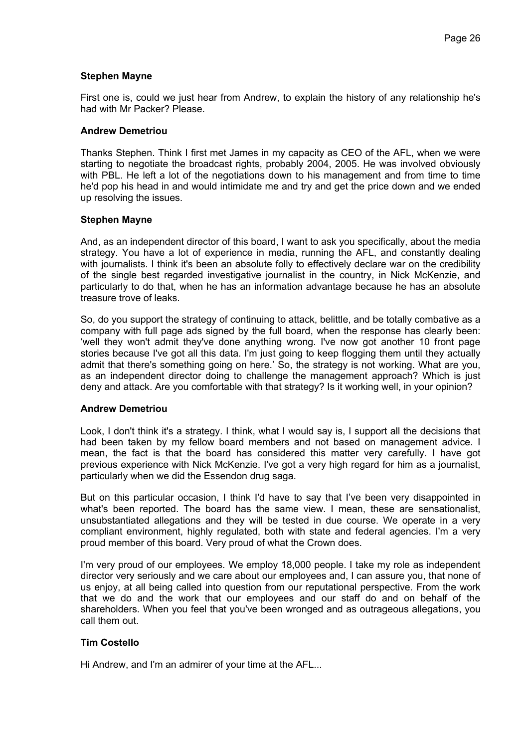### **Stephen Mayne**

First one is, could we just hear from Andrew, to explain the history of any relationship he's had with Mr Packer? Please.

### **Andrew Demetriou**

Thanks Stephen. Think I first met James in my capacity as CEO of the AFL, when we were starting to negotiate the broadcast rights, probably 2004, 2005. He was involved obviously with PBL. He left a lot of the negotiations down to his management and from time to time he'd pop his head in and would intimidate me and try and get the price down and we ended up resolving the issues.

### **Stephen Mayne**

And, as an independent director of this board, I want to ask you specifically, about the media strategy. You have a lot of experience in media, running the AFL, and constantly dealing with journalists. I think it's been an absolute folly to effectively declare war on the credibility of the single best regarded investigative journalist in the country, in Nick McKenzie, and particularly to do that, when he has an information advantage because he has an absolute treasure trove of leaks.

So, do you support the strategy of continuing to attack, belittle, and be totally combative as a company with full page ads signed by the full board, when the response has clearly been: 'well they won't admit they've done anything wrong. I've now got another 10 front page stories because I've got all this data. I'm just going to keep flogging them until they actually admit that there's something going on here.' So, the strategy is not working. What are you, as an independent director doing to challenge the management approach? Which is just deny and attack. Are you comfortable with that strategy? Is it working well, in your opinion?

### **Andrew Demetriou**

Look, I don't think it's a strategy. I think, what I would say is, I support all the decisions that had been taken by my fellow board members and not based on management advice. I mean, the fact is that the board has considered this matter very carefully. I have got previous experience with Nick McKenzie. I've got a very high regard for him as a journalist, particularly when we did the Essendon drug saga.

But on this particular occasion, I think I'd have to say that I've been very disappointed in what's been reported. The board has the same view. I mean, these are sensationalist, unsubstantiated allegations and they will be tested in due course. We operate in a very compliant environment, highly regulated, both with state and federal agencies. I'm a very proud member of this board. Very proud of what the Crown does.

I'm very proud of our employees. We employ 18,000 people. I take my role as independent director very seriously and we care about our employees and, I can assure you, that none of us enjoy, at all being called into question from our reputational perspective. From the work that we do and the work that our employees and our staff do and on behalf of the shareholders. When you feel that you've been wronged and as outrageous allegations, you call them out.

# **Tim Costello**

Hi Andrew, and I'm an admirer of your time at the AFL...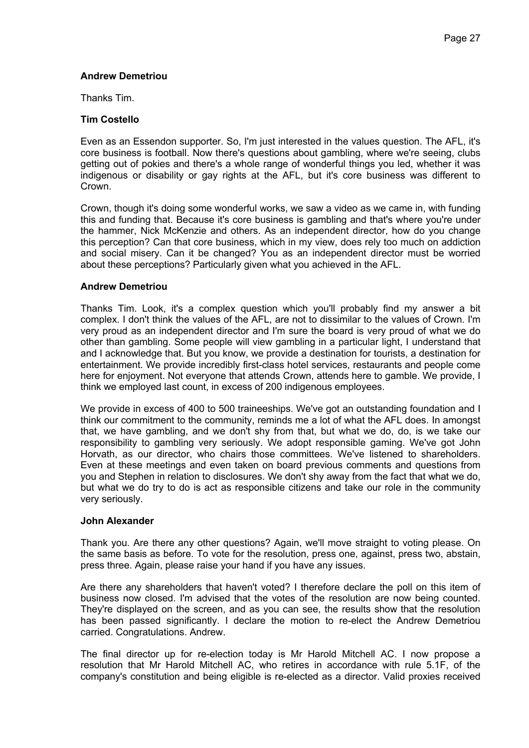# **Andrew Demetriou**

Thanks Tim.

# **Tim Costello**

Even as an Essendon supporter. So, I'm just interested in the values question. The AFL, it's core business is football. Now there's questions about gambling, where we're seeing, clubs getting out of pokies and there's a whole range of wonderful things you led, whether it was indigenous or disability or gay rights at the AFL, but it's core business was different to Crown.

Crown, though it's doing some wonderful works, we saw a video as we came in, with funding this and funding that. Because it's core business is gambling and that's where you're under the hammer, Nick McKenzie and others. As an independent director, how do you change this perception? Can that core business, which in my view, does rely too much on addiction and social misery. Can it be changed? You as an independent director must be worried about these perceptions? Particularly given what you achieved in the AFL.

# **Andrew Demetriou**

Thanks Tim. Look, it's a complex question which you'll probably find my answer a bit complex. I don't think the values of the AFL, are not to dissimilar to the values of Crown. I'm very proud as an independent director and I'm sure the board is very proud of what we do other than gambling. Some people will view gambling in a particular light, I understand that and I acknowledge that. But you know, we provide a destination for tourists, a destination for entertainment. We provide incredibly first-class hotel services, restaurants and people come here for enjoyment. Not everyone that attends Crown, attends here to gamble. We provide, I think we employed last count, in excess of 200 indigenous employees.

We provide in excess of 400 to 500 traineeships. We've got an outstanding foundation and I think our commitment to the community, reminds me a lot of what the AFL does. In amongst that, we have gambling, and we don't shy from that, but what we do, do, is we take our responsibility to gambling very seriously. We adopt responsible gaming. We've got John Horvath, as our director, who chairs those committees. We've listened to shareholders. Even at these meetings and even taken on board previous comments and questions from you and Stephen in relation to disclosures. We don't shy away from the fact that what we do, but what we do try to do is act as responsible citizens and take our role in the community very seriously.

### **John Alexander**

Thank you. Are there any other questions? Again, we'll move straight to voting please. On the same basis as before. To vote for the resolution, press one, against, press two, abstain, press three. Again, please raise your hand if you have any issues.

Are there any shareholders that haven't voted? I therefore declare the poll on this item of business now closed. I'm advised that the votes of the resolution are now being counted. They're displayed on the screen, and as you can see, the results show that the resolution has been passed significantly. I declare the motion to re-elect the Andrew Demetriou carried. Congratulations. Andrew.

The final director up for re-election today is Mr Harold Mitchell AC. I now propose a resolution that Mr Harold Mitchell AC, who retires in accordance with rule 5.1F, of the company's constitution and being eligible is re-elected as a director. Valid proxies received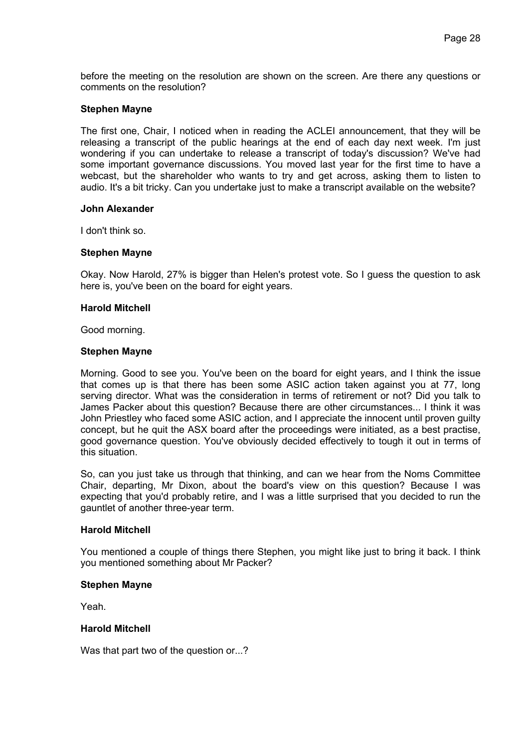before the meeting on the resolution are shown on the screen. Are there any questions or comments on the resolution?

#### **Stephen Mayne**

The first one, Chair, I noticed when in reading the ACLEI announcement, that they will be releasing a transcript of the public hearings at the end of each day next week. I'm just wondering if you can undertake to release a transcript of today's discussion? We've had some important governance discussions. You moved last year for the first time to have a webcast, but the shareholder who wants to try and get across, asking them to listen to audio. It's a bit tricky. Can you undertake just to make a transcript available on the website?

#### **John Alexander**

I don't think so.

#### **Stephen Mayne**

Okay. Now Harold, 27% is bigger than Helen's protest vote. So I guess the question to ask here is, you've been on the board for eight years.

#### **Harold Mitchell**

Good morning.

#### **Stephen Mayne**

Morning. Good to see you. You've been on the board for eight years, and I think the issue that comes up is that there has been some ASIC action taken against you at 77, long serving director. What was the consideration in terms of retirement or not? Did you talk to James Packer about this question? Because there are other circumstances... I think it was John Priestley who faced some ASIC action, and I appreciate the innocent until proven guilty concept, but he quit the ASX board after the proceedings were initiated, as a best practise, good governance question. You've obviously decided effectively to tough it out in terms of this situation.

So, can you just take us through that thinking, and can we hear from the Noms Committee Chair, departing, Mr Dixon, about the board's view on this question? Because I was expecting that you'd probably retire, and I was a little surprised that you decided to run the gauntlet of another three-year term.

### **Harold Mitchell**

You mentioned a couple of things there Stephen, you might like just to bring it back. I think you mentioned something about Mr Packer?

### **Stephen Mayne**

Yeah.

### **Harold Mitchell**

Was that part two of the question or...?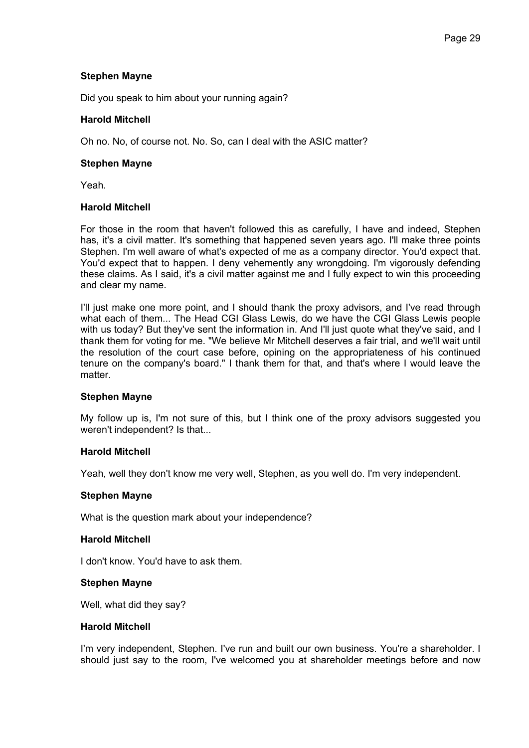# **Stephen Mayne**

Did you speak to him about your running again?

# **Harold Mitchell**

Oh no. No, of course not. No. So, can I deal with the ASIC matter?

### **Stephen Mayne**

Yeah.

# **Harold Mitchell**

For those in the room that haven't followed this as carefully, I have and indeed, Stephen has, it's a civil matter. It's something that happened seven years ago. I'll make three points Stephen. I'm well aware of what's expected of me as a company director. You'd expect that. You'd expect that to happen. I deny vehemently any wrongdoing. I'm vigorously defending these claims. As I said, it's a civil matter against me and I fully expect to win this proceeding and clear my name.

I'll just make one more point, and I should thank the proxy advisors, and I've read through what each of them... The Head CGI Glass Lewis, do we have the CGI Glass Lewis people with us today? But they've sent the information in. And I'll just quote what they've said, and I thank them for voting for me. "We believe Mr Mitchell deserves a fair trial, and we'll wait until the resolution of the court case before, opining on the appropriateness of his continued tenure on the company's board." I thank them for that, and that's where I would leave the matter.

### **Stephen Mayne**

My follow up is, I'm not sure of this, but I think one of the proxy advisors suggested you weren't independent? Is that...

### **Harold Mitchell**

Yeah, well they don't know me very well, Stephen, as you well do. I'm very independent.

### **Stephen Mayne**

What is the question mark about your independence?

# **Harold Mitchell**

I don't know. You'd have to ask them.

### **Stephen Mayne**

Well, what did they say?

# **Harold Mitchell**

I'm very independent, Stephen. I've run and built our own business. You're a shareholder. I should just say to the room, I've welcomed you at shareholder meetings before and now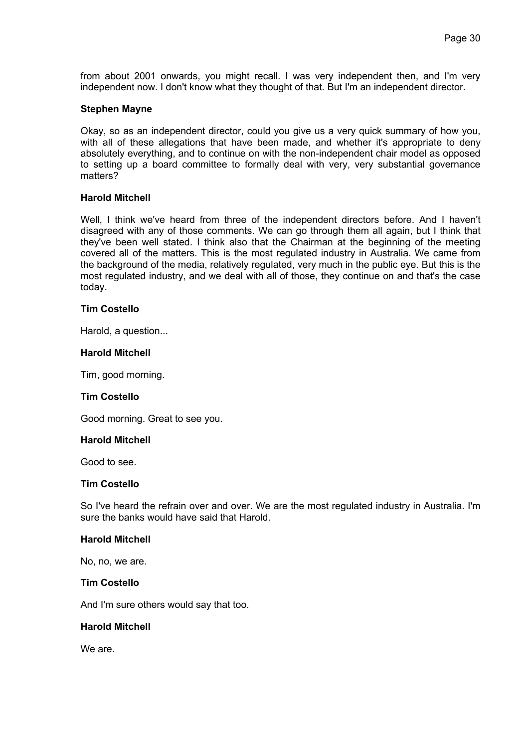from about 2001 onwards, you might recall. I was very independent then, and I'm very independent now. I don't know what they thought of that. But I'm an independent director.

#### **Stephen Mayne**

Okay, so as an independent director, could you give us a very quick summary of how you, with all of these allegations that have been made, and whether it's appropriate to deny absolutely everything, and to continue on with the non-independent chair model as opposed to setting up a board committee to formally deal with very, very substantial governance matters?

#### **Harold Mitchell**

Well, I think we've heard from three of the independent directors before. And I haven't disagreed with any of those comments. We can go through them all again, but I think that they've been well stated. I think also that the Chairman at the beginning of the meeting covered all of the matters. This is the most regulated industry in Australia. We came from the background of the media, relatively regulated, very much in the public eye. But this is the most regulated industry, and we deal with all of those, they continue on and that's the case today.

# **Tim Costello**

Harold, a question...

#### **Harold Mitchell**

Tim, good morning.

#### **Tim Costello**

Good morning. Great to see you.

#### **Harold Mitchell**

Good to see.

#### **Tim Costello**

So I've heard the refrain over and over. We are the most regulated industry in Australia. I'm sure the banks would have said that Harold.

### **Harold Mitchell**

No, no, we are.

### **Tim Costello**

And I'm sure others would say that too.

# **Harold Mitchell**

We are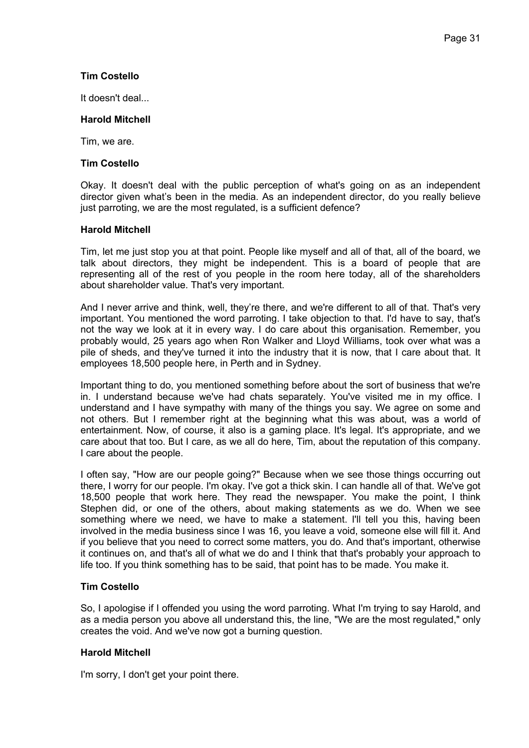# **Tim Costello**

It doesn't deal...

# **Harold Mitchell**

Tim, we are.

# **Tim Costello**

Okay. It doesn't deal with the public perception of what's going on as an independent director given what's been in the media. As an independent director, do you really believe just parroting, we are the most regulated, is a sufficient defence?

# **Harold Mitchell**

Tim, let me just stop you at that point. People like myself and all of that, all of the board, we talk about directors, they might be independent. This is a board of people that are representing all of the rest of you people in the room here today, all of the shareholders about shareholder value. That's very important.

And I never arrive and think, well, they're there, and we're different to all of that. That's very important. You mentioned the word parroting. I take objection to that. I'd have to say, that's not the way we look at it in every way. I do care about this organisation. Remember, you probably would, 25 years ago when Ron Walker and Lloyd Williams, took over what was a pile of sheds, and they've turned it into the industry that it is now, that I care about that. It employees 18,500 people here, in Perth and in Sydney.

Important thing to do, you mentioned something before about the sort of business that we're in. I understand because we've had chats separately. You've visited me in my office. I understand and I have sympathy with many of the things you say. We agree on some and not others. But I remember right at the beginning what this was about, was a world of entertainment. Now, of course, it also is a gaming place. It's legal. It's appropriate, and we care about that too. But I care, as we all do here, Tim, about the reputation of this company. I care about the people.

I often say, "How are our people going?" Because when we see those things occurring out there, I worry for our people. I'm okay. I've got a thick skin. I can handle all of that. We've got 18,500 people that work here. They read the newspaper. You make the point, I think Stephen did, or one of the others, about making statements as we do. When we see something where we need, we have to make a statement. I'll tell you this, having been involved in the media business since I was 16, you leave a void, someone else will fill it. And if you believe that you need to correct some matters, you do. And that's important, otherwise it continues on, and that's all of what we do and I think that that's probably your approach to life too. If you think something has to be said, that point has to be made. You make it.

# **Tim Costello**

So, I apologise if I offended you using the word parroting. What I'm trying to say Harold, and as a media person you above all understand this, the line, "We are the most regulated," only creates the void. And we've now got a burning question.

# **Harold Mitchell**

I'm sorry, I don't get your point there.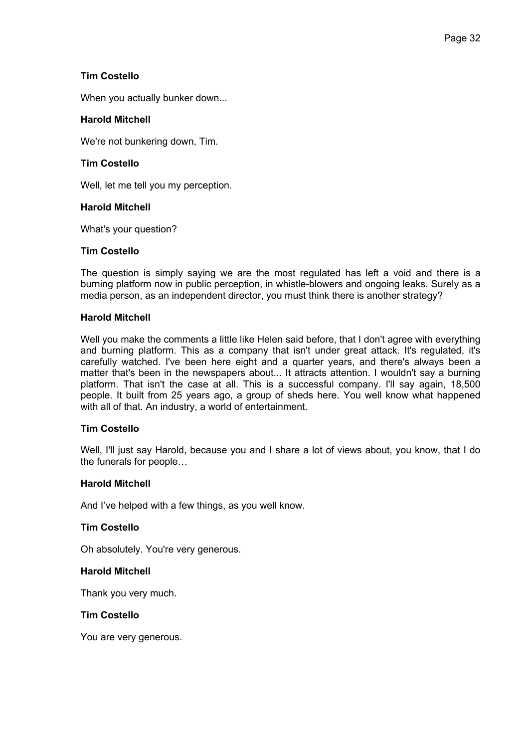# **Tim Costello**

When you actually bunker down...

# **Harold Mitchell**

We're not bunkering down, Tim.

# **Tim Costello**

Well, let me tell you my perception.

# **Harold Mitchell**

What's your question?

# **Tim Costello**

The question is simply saying we are the most regulated has left a void and there is a burning platform now in public perception, in whistle-blowers and ongoing leaks. Surely as a media person, as an independent director, you must think there is another strategy?

# **Harold Mitchell**

Well you make the comments a little like Helen said before, that I don't agree with everything and burning platform. This as a company that isn't under great attack. It's regulated, it's carefully watched. I've been here eight and a quarter years, and there's always been a matter that's been in the newspapers about... It attracts attention. I wouldn't say a burning platform. That isn't the case at all. This is a successful company. I'll say again, 18,500 people. It built from 25 years ago, a group of sheds here. You well know what happened with all of that. An industry, a world of entertainment.

# **Tim Costello**

Well, I'll just say Harold, because you and I share a lot of views about, you know, that I do the funerals for people…

### **Harold Mitchell**

And I've helped with a few things, as you well know.

### **Tim Costello**

Oh absolutely. You're very generous.

### **Harold Mitchell**

Thank you very much.

### **Tim Costello**

You are very generous.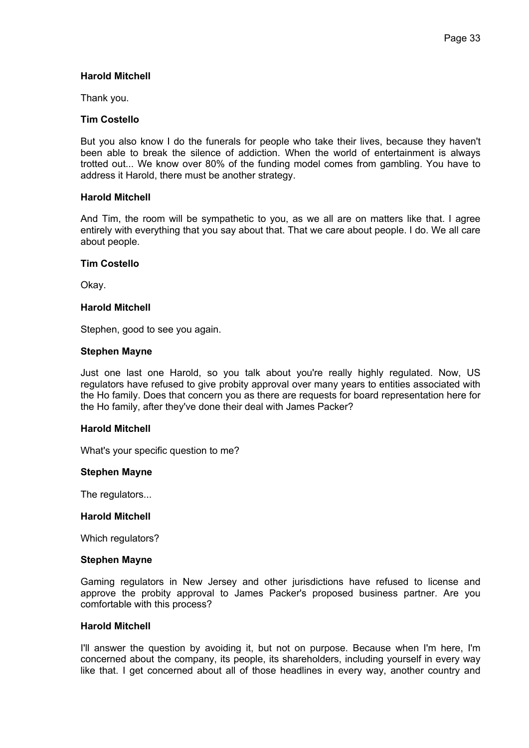### **Harold Mitchell**

Thank you.

### **Tim Costello**

But you also know I do the funerals for people who take their lives, because they haven't been able to break the silence of addiction. When the world of entertainment is always trotted out... We know over 80% of the funding model comes from gambling. You have to address it Harold, there must be another strategy.

### **Harold Mitchell**

And Tim, the room will be sympathetic to you, as we all are on matters like that. I agree entirely with everything that you say about that. That we care about people. I do. We all care about people.

#### **Tim Costello**

Okay.

# **Harold Mitchell**

Stephen, good to see you again.

#### **Stephen Mayne**

Just one last one Harold, so you talk about you're really highly regulated. Now, US regulators have refused to give probity approval over many years to entities associated with the Ho family. Does that concern you as there are requests for board representation here for the Ho family, after they've done their deal with James Packer?

#### **Harold Mitchell**

What's your specific question to me?

#### **Stephen Mayne**

The regulators...

#### **Harold Mitchell**

Which regulators?

#### **Stephen Mayne**

Gaming regulators in New Jersey and other jurisdictions have refused to license and approve the probity approval to James Packer's proposed business partner. Are you comfortable with this process?

#### **Harold Mitchell**

I'll answer the question by avoiding it, but not on purpose. Because when I'm here, I'm concerned about the company, its people, its shareholders, including yourself in every way like that. I get concerned about all of those headlines in every way, another country and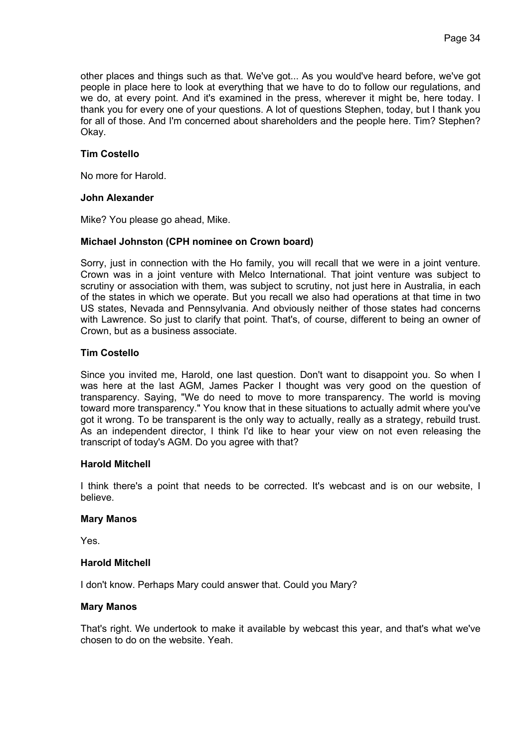other places and things such as that. We've got... As you would've heard before, we've got people in place here to look at everything that we have to do to follow our regulations, and we do, at every point. And it's examined in the press, wherever it might be, here today. I thank you for every one of your questions. A lot of questions Stephen, today, but I thank you for all of those. And I'm concerned about shareholders and the people here. Tim? Stephen? Okay.

# **Tim Costello**

No more for Harold.

### **John Alexander**

Mike? You please go ahead, Mike.

# **Michael Johnston (CPH nominee on Crown board)**

Sorry, just in connection with the Ho family, you will recall that we were in a joint venture. Crown was in a joint venture with Melco International. That joint venture was subject to scrutiny or association with them, was subject to scrutiny, not just here in Australia, in each of the states in which we operate. But you recall we also had operations at that time in two US states, Nevada and Pennsylvania. And obviously neither of those states had concerns with Lawrence. So just to clarify that point. That's, of course, different to being an owner of Crown, but as a business associate.

# **Tim Costello**

Since you invited me, Harold, one last question. Don't want to disappoint you. So when I was here at the last AGM, James Packer I thought was very good on the question of transparency. Saying, "We do need to move to more transparency. The world is moving toward more transparency." You know that in these situations to actually admit where you've got it wrong. To be transparent is the only way to actually, really as a strategy, rebuild trust. As an independent director, I think I'd like to hear your view on not even releasing the transcript of today's AGM. Do you agree with that?

### **Harold Mitchell**

I think there's a point that needs to be corrected. It's webcast and is on our website, I believe.

### **Mary Manos**

Yes.

# **Harold Mitchell**

I don't know. Perhaps Mary could answer that. Could you Mary?

### **Mary Manos**

That's right. We undertook to make it available by webcast this year, and that's what we've chosen to do on the website. Yeah.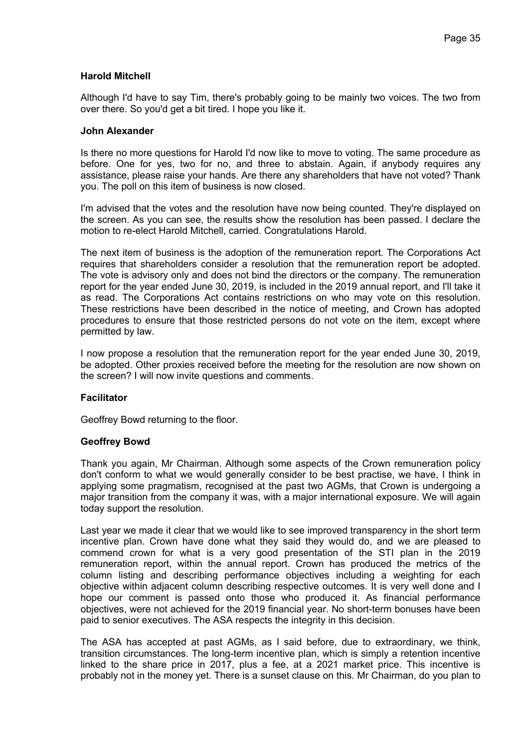# **Harold Mitchell**

Although I'd have to say Tim, there's probably going to be mainly two voices. The two from over there. So you'd get a bit tired. I hope you like it.

### **John Alexander**

Is there no more questions for Harold I'd now like to move to voting. The same procedure as before. One for yes, two for no, and three to abstain. Again, if anybody requires any assistance, please raise your hands. Are there any shareholders that have not voted? Thank you. The poll on this item of business is now closed.

I'm advised that the votes and the resolution have now being counted. They're displayed on the screen. As you can see, the results show the resolution has been passed. I declare the motion to re-elect Harold Mitchell, carried. Congratulations Harold.

The next item of business is the adoption of the remuneration report. The Corporations Act requires that shareholders consider a resolution that the remuneration report be adopted. The vote is advisory only and does not bind the directors or the company. The remuneration report for the year ended June 30, 2019, is included in the 2019 annual report, and I'll take it as read. The Corporations Act contains restrictions on who may vote on this resolution. These restrictions have been described in the notice of meeting, and Crown has adopted procedures to ensure that those restricted persons do not vote on the item, except where permitted by law.

I now propose a resolution that the remuneration report for the year ended June 30, 2019, be adopted. Other proxies received before the meeting for the resolution are now shown on the screen? I will now invite questions and comments.

### **Facilitator**

Geoffrey Bowd returning to the floor.

### **Geoffrey Bowd**

Thank you again, Mr Chairman. Although some aspects of the Crown remuneration policy don't conform to what we would generally consider to be best practise, we have, I think in applying some pragmatism, recognised at the past two AGMs, that Crown is undergoing a major transition from the company it was, with a major international exposure. We will again today support the resolution.

Last year we made it clear that we would like to see improved transparency in the short term incentive plan. Crown have done what they said they would do, and we are pleased to commend crown for what is a very good presentation of the STI plan in the 2019 remuneration report, within the annual report. Crown has produced the metrics of the column listing and describing performance objectives including a weighting for each objective within adjacent column describing respective outcomes. It is very well done and I hope our comment is passed onto those who produced it. As financial performance objectives, were not achieved for the 2019 financial year. No short-term bonuses have been paid to senior executives. The ASA respects the integrity in this decision.

The ASA has accepted at past AGMs, as I said before, due to extraordinary, we think, transition circumstances. The long-term incentive plan, which is simply a retention incentive linked to the share price in 2017, plus a fee, at a 2021 market price. This incentive is probably not in the money yet. There is a sunset clause on this. Mr Chairman, do you plan to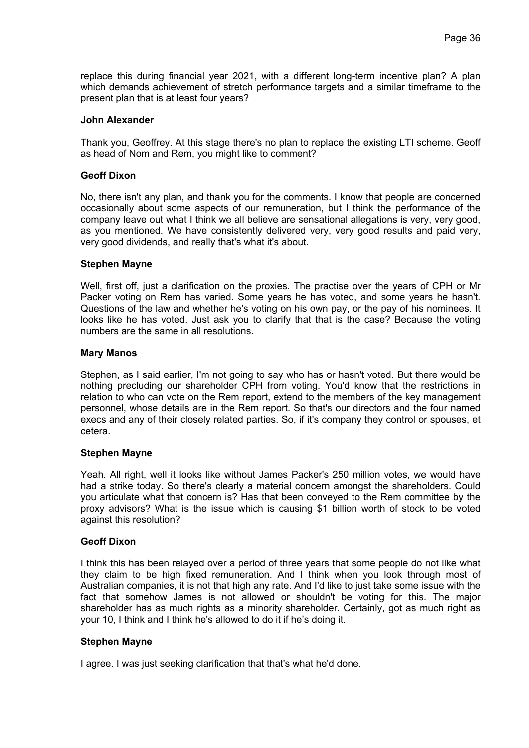replace this during financial year 2021, with a different long-term incentive plan? A plan which demands achievement of stretch performance targets and a similar timeframe to the present plan that is at least four years?

### **John Alexander**

Thank you, Geoffrey. At this stage there's no plan to replace the existing LTI scheme. Geoff as head of Nom and Rem, you might like to comment?

### **Geoff Dixon**

No, there isn't any plan, and thank you for the comments. I know that people are concerned occasionally about some aspects of our remuneration, but I think the performance of the company leave out what I think we all believe are sensational allegations is very, very good, as you mentioned. We have consistently delivered very, very good results and paid very, very good dividends, and really that's what it's about.

# **Stephen Mayne**

Well, first off, just a clarification on the proxies. The practise over the years of CPH or Mr Packer voting on Rem has varied. Some years he has voted, and some years he hasn't. Questions of the law and whether he's voting on his own pay, or the pay of his nominees. It looks like he has voted. Just ask you to clarify that that is the case? Because the voting numbers are the same in all resolutions.

### **Mary Manos**

Stephen, as I said earlier, I'm not going to say who has or hasn't voted. But there would be nothing precluding our shareholder CPH from voting. You'd know that the restrictions in relation to who can vote on the Rem report, extend to the members of the key management personnel, whose details are in the Rem report. So that's our directors and the four named execs and any of their closely related parties. So, if it's company they control or spouses, et cetera.

### **Stephen Mayne**

Yeah. All right, well it looks like without James Packer's 250 million votes, we would have had a strike today. So there's clearly a material concern amongst the shareholders. Could you articulate what that concern is? Has that been conveyed to the Rem committee by the proxy advisors? What is the issue which is causing \$1 billion worth of stock to be voted against this resolution?

### **Geoff Dixon**

I think this has been relayed over a period of three years that some people do not like what they claim to be high fixed remuneration. And I think when you look through most of Australian companies, it is not that high any rate. And I'd like to just take some issue with the fact that somehow James is not allowed or shouldn't be voting for this. The major shareholder has as much rights as a minority shareholder. Certainly, got as much right as your 10, I think and I think he's allowed to do it if he's doing it.

### **Stephen Mayne**

I agree. I was just seeking clarification that that's what he'd done.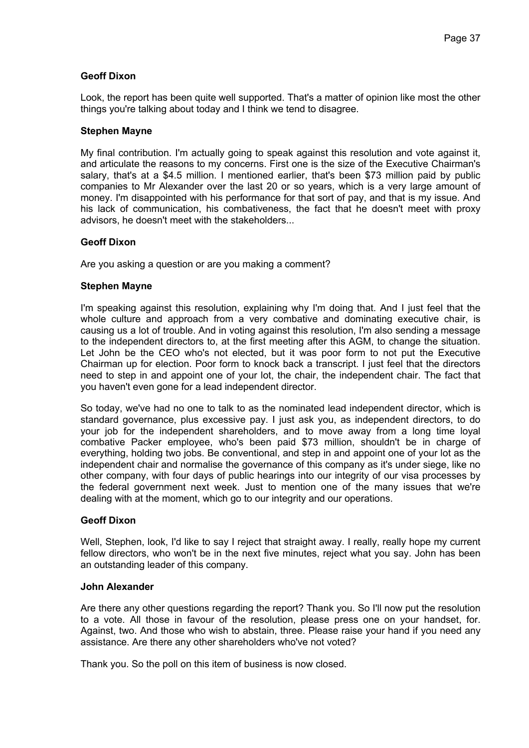# **Geoff Dixon**

Look, the report has been quite well supported. That's a matter of opinion like most the other things you're talking about today and I think we tend to disagree.

### **Stephen Mayne**

My final contribution. I'm actually going to speak against this resolution and vote against it, and articulate the reasons to my concerns. First one is the size of the Executive Chairman's salary, that's at a \$4.5 million. I mentioned earlier, that's been \$73 million paid by public companies to Mr Alexander over the last 20 or so years, which is a very large amount of money. I'm disappointed with his performance for that sort of pay, and that is my issue. And his lack of communication, his combativeness, the fact that he doesn't meet with proxy advisors, he doesn't meet with the stakeholders...

# **Geoff Dixon**

Are you asking a question or are you making a comment?

# **Stephen Mayne**

I'm speaking against this resolution, explaining why I'm doing that. And I just feel that the whole culture and approach from a very combative and dominating executive chair, is causing us a lot of trouble. And in voting against this resolution, I'm also sending a message to the independent directors to, at the first meeting after this AGM, to change the situation. Let John be the CEO who's not elected, but it was poor form to not put the Executive Chairman up for election. Poor form to knock back a transcript. I just feel that the directors need to step in and appoint one of your lot, the chair, the independent chair. The fact that you haven't even gone for a lead independent director.

So today, we've had no one to talk to as the nominated lead independent director, which is standard governance, plus excessive pay. I just ask you, as independent directors, to do your job for the independent shareholders, and to move away from a long time loyal combative Packer employee, who's been paid \$73 million, shouldn't be in charge of everything, holding two jobs. Be conventional, and step in and appoint one of your lot as the independent chair and normalise the governance of this company as it's under siege, like no other company, with four days of public hearings into our integrity of our visa processes by the federal government next week. Just to mention one of the many issues that we're dealing with at the moment, which go to our integrity and our operations.

# **Geoff Dixon**

Well, Stephen, look, I'd like to say I reject that straight away. I really, really hope my current fellow directors, who won't be in the next five minutes, reject what you say. John has been an outstanding leader of this company.

### **John Alexander**

Are there any other questions regarding the report? Thank you. So I'll now put the resolution to a vote. All those in favour of the resolution, please press one on your handset, for. Against, two. And those who wish to abstain, three. Please raise your hand if you need any assistance. Are there any other shareholders who've not voted?

Thank you. So the poll on this item of business is now closed.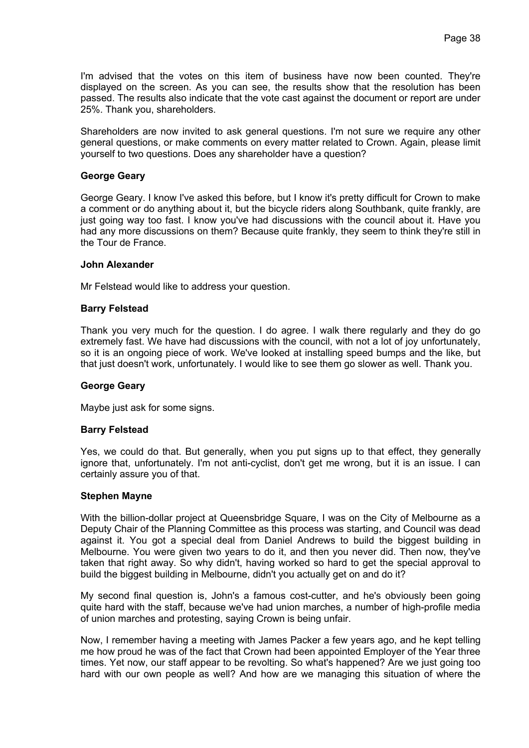I'm advised that the votes on this item of business have now been counted. They're displayed on the screen. As you can see, the results show that the resolution has been passed. The results also indicate that the vote cast against the document or report are under 25%. Thank you, shareholders.

Shareholders are now invited to ask general questions. I'm not sure we require any other general questions, or make comments on every matter related to Crown. Again, please limit yourself to two questions. Does any shareholder have a question?

### **George Geary**

George Geary. I know I've asked this before, but I know it's pretty difficult for Crown to make a comment or do anything about it, but the bicycle riders along Southbank, quite frankly, are just going way too fast. I know you've had discussions with the council about it. Have you had any more discussions on them? Because quite frankly, they seem to think they're still in the Tour de France.

# **John Alexander**

Mr Felstead would like to address your question.

# **Barry Felstead**

Thank you very much for the question. I do agree. I walk there regularly and they do go extremely fast. We have had discussions with the council, with not a lot of joy unfortunately, so it is an ongoing piece of work. We've looked at installing speed bumps and the like, but that just doesn't work, unfortunately. I would like to see them go slower as well. Thank you.

### **George Geary**

Maybe just ask for some signs.

### **Barry Felstead**

Yes, we could do that. But generally, when you put signs up to that effect, they generally ignore that, unfortunately. I'm not anti-cyclist, don't get me wrong, but it is an issue. I can certainly assure you of that.

### **Stephen Mayne**

With the billion-dollar project at Queensbridge Square, I was on the City of Melbourne as a Deputy Chair of the Planning Committee as this process was starting, and Council was dead against it. You got a special deal from Daniel Andrews to build the biggest building in Melbourne. You were given two years to do it, and then you never did. Then now, they've taken that right away. So why didn't, having worked so hard to get the special approval to build the biggest building in Melbourne, didn't you actually get on and do it?

My second final question is, John's a famous cost-cutter, and he's obviously been going quite hard with the staff, because we've had union marches, a number of high-profile media of union marches and protesting, saying Crown is being unfair.

Now, I remember having a meeting with James Packer a few years ago, and he kept telling me how proud he was of the fact that Crown had been appointed Employer of the Year three times. Yet now, our staff appear to be revolting. So what's happened? Are we just going too hard with our own people as well? And how are we managing this situation of where the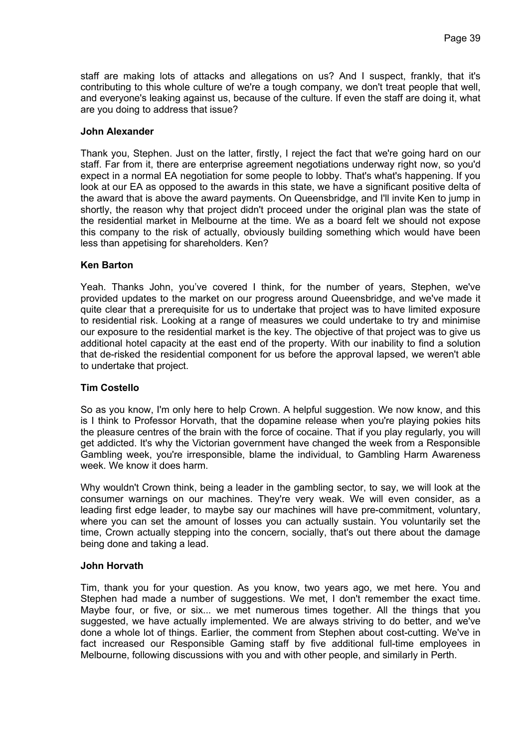staff are making lots of attacks and allegations on us? And I suspect, frankly, that it's contributing to this whole culture of we're a tough company, we don't treat people that well, and everyone's leaking against us, because of the culture. If even the staff are doing it, what are you doing to address that issue?

# **John Alexander**

Thank you, Stephen. Just on the latter, firstly, I reject the fact that we're going hard on our staff. Far from it, there are enterprise agreement negotiations underway right now, so you'd expect in a normal EA negotiation for some people to lobby. That's what's happening. If you look at our EA as opposed to the awards in this state, we have a significant positive delta of the award that is above the award payments. On Queensbridge, and I'll invite Ken to jump in shortly, the reason why that project didn't proceed under the original plan was the state of the residential market in Melbourne at the time. We as a board felt we should not expose this company to the risk of actually, obviously building something which would have been less than appetising for shareholders. Ken?

# **Ken Barton**

Yeah. Thanks John, you've covered I think, for the number of years, Stephen, we've provided updates to the market on our progress around Queensbridge, and we've made it quite clear that a prerequisite for us to undertake that project was to have limited exposure to residential risk. Looking at a range of measures we could undertake to try and minimise our exposure to the residential market is the key. The objective of that project was to give us additional hotel capacity at the east end of the property. With our inability to find a solution that de-risked the residential component for us before the approval lapsed, we weren't able to undertake that project.

# **Tim Costello**

So as you know, I'm only here to help Crown. A helpful suggestion. We now know, and this is I think to Professor Horvath, that the dopamine release when you're playing pokies hits the pleasure centres of the brain with the force of cocaine. That if you play regularly, you will get addicted. It's why the Victorian government have changed the week from a Responsible Gambling week, you're irresponsible, blame the individual, to Gambling Harm Awareness week. We know it does harm.

Why wouldn't Crown think, being a leader in the gambling sector, to say, we will look at the consumer warnings on our machines. They're very weak. We will even consider, as a leading first edge leader, to maybe say our machines will have pre-commitment, voluntary, where you can set the amount of losses you can actually sustain. You voluntarily set the time, Crown actually stepping into the concern, socially, that's out there about the damage being done and taking a lead.

### **John Horvath**

Tim, thank you for your question. As you know, two years ago, we met here. You and Stephen had made a number of suggestions. We met, I don't remember the exact time. Maybe four, or five, or six... we met numerous times together. All the things that you suggested, we have actually implemented. We are always striving to do better, and we've done a whole lot of things. Earlier, the comment from Stephen about cost-cutting. We've in fact increased our Responsible Gaming staff by five additional full-time employees in Melbourne, following discussions with you and with other people, and similarly in Perth.